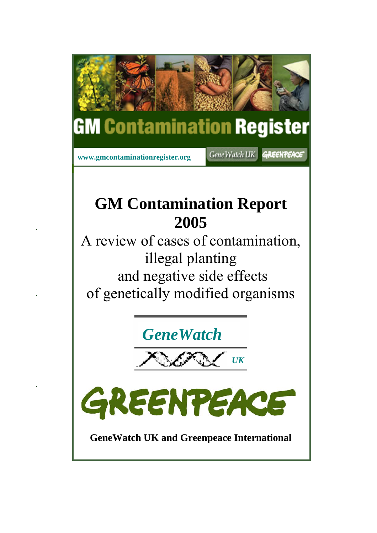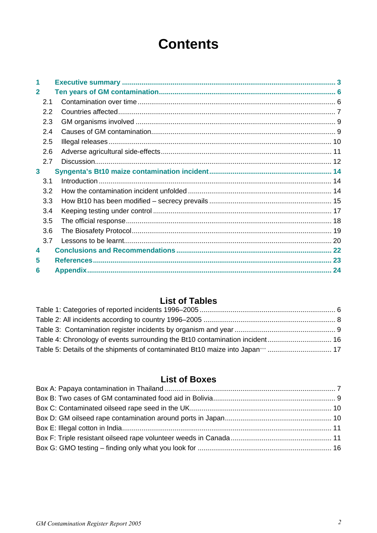# **Contents**

| $\overline{2}$ |     |  |
|----------------|-----|--|
|                | 2.1 |  |
|                | 2.2 |  |
|                | 2.3 |  |
|                | 2.4 |  |
|                | 2.5 |  |
|                | 2.6 |  |
|                | 2.7 |  |
| 3              |     |  |
|                | 3.1 |  |
|                | 3.2 |  |
|                | 3.3 |  |
|                | 3.4 |  |
|                | 3.5 |  |
|                | 3.6 |  |
|                | 3.7 |  |
| 4              |     |  |
| 5              |     |  |
| 6              |     |  |
|                |     |  |

# **List of Tables**

# **List of Boxes**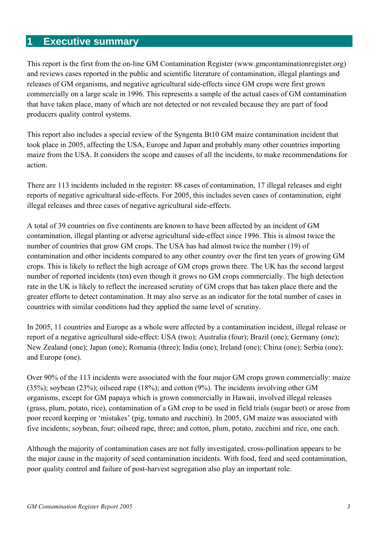# **1 Executive summary**

This report is the first from the on-line GM Contamination Register (www.gmcontaminationregister.org) and reviews cases reported in the public and scientific literature of contamination, illegal plantings and releases of GM organisms, and negative agricultural side-effects since GM crops were first grown commercially on a large scale in 1996. This represents a sample of the actual cases of GM contamination that have taken place, many of which are not detected or not revealed because they are part of food producers quality control systems.

This report also includes a special review of the Syngenta Bt10 GM maize contamination incident that took place in 2005, affecting the USA, Europe and Japan and probably many other countries importing maize from the USA. It considers the scope and causes of all the incidents, to make recommendations for action.

There are 113 incidents included in the register: 88 cases of contamination, 17 illegal releases and eight reports of negative agricultural side-effects. For 2005, this includes seven cases of contamination, eight illegal releases and three cases of negative agricultural side-effects.

A total of 39 countries on five continents are known to have been affected by an incident of GM contamination, illegal planting or adverse agricultural side-effect since 1996. This is almost twice the number of countries that grow GM crops. The USA has had almost twice the number (19) of contamination and other incidents compared to any other country over the first ten years of growing GM crops. This is likely to reflect the high acreage of GM crops grown there. The UK has the second largest number of reported incidents (ten) even though it grows no GM crops commercially. The high detection rate in the UK is likely to reflect the increased scrutiny of GM crops that has taken place there and the greater efforts to detect contamination. It may also serve as an indicator for the total number of cases in countries with similar conditions had they applied the same level of scrutiny.

In 2005, 11 countries and Europe as a whole were affected by a contamination incident, illegal release or report of a negative agricultural side-effect: USA (two); Australia (four); Brazil (one); Germany (one); New Zealand (one); Japan (one); Romania (three); India (one); Ireland (one); China (one); Serbia (one); and Europe (one).

Over 90% of the 113 incidents were associated with the four major GM crops grown commercially: maize (35%); soybean (23%); oilseed rape (18%); and cotton (9%). The incidents involving other GM organisms, except for GM papaya which is grown commercially in Hawaii, involved illegal releases (grass, plum, potato, rice), contamination of a GM crop to be used in field trials (sugar beet) or arose from poor record keeping or 'mistakes' (pig, tomato and zucchini). In 2005, GM maize was associated with five incidents; soybean, four; oilseed rape, three; and cotton, plum, potato, zucchini and rice, one each.

Although the majority of contamination cases are not fully investigated, cross-pollination appears to be the major cause in the majority of seed contamination incidents. With food, feed and seed contamination, poor quality control and failure of post-harvest segregation also play an important role.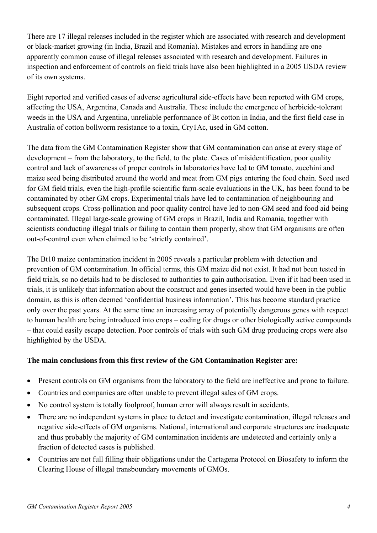There are 17 illegal releases included in the register which are associated with research and development or black-market growing (in India, Brazil and Romania). Mistakes and errors in handling are one apparently common cause of illegal releases associated with research and development. Failures in inspection and enforcement of controls on field trials have also been highlighted in a 2005 USDA review of its own systems.

Eight reported and verified cases of adverse agricultural side-effects have been reported with GM crops, affecting the USA, Argentina, Canada and Australia. These include the emergence of herbicide-tolerant weeds in the USA and Argentina, unreliable performance of Bt cotton in India, and the first field case in Australia of cotton bollworm resistance to a toxin, Cry1Ac, used in GM cotton.

The data from the GM Contamination Register show that GM contamination can arise at every stage of development – from the laboratory, to the field, to the plate. Cases of misidentification, poor quality control and lack of awareness of proper controls in laboratories have led to GM tomato, zucchini and maize seed being distributed around the world and meat from GM pigs entering the food chain. Seed used for GM field trials, even the high-profile scientific farm-scale evaluations in the UK, has been found to be contaminated by other GM crops. Experimental trials have led to contamination of neighbouring and subsequent crops. Cross-pollination and poor quality control have led to non-GM seed and food aid being contaminated. Illegal large-scale growing of GM crops in Brazil, India and Romania, together with scientists conducting illegal trials or failing to contain them properly, show that GM organisms are often out-of-control even when claimed to be 'strictly contained'.

The Bt10 maize contamination incident in 2005 reveals a particular problem with detection and prevention of GM contamination. In official terms, this GM maize did not exist. It had not been tested in field trials, so no details had to be disclosed to authorities to gain authorisation. Even if it had been used in trials, it is unlikely that information about the construct and genes inserted would have been in the public domain, as this is often deemed 'confidential business information'. This has become standard practice only over the past years. At the same time an increasing array of potentially dangerous genes with respect to human health are being introduced into crops – coding for drugs or other biologically active compounds – that could easily escape detection. Poor controls of trials with such GM drug producing crops were also highlighted by the USDA.

# **The main conclusions from this first review of the GM Contamination Register are:**

- Present controls on GM organisms from the laboratory to the field are ineffective and prone to failure.
- Countries and companies are often unable to prevent illegal sales of GM crops.
- No control system is totally foolproof, human error will always result in accidents.
- There are no independent systems in place to detect and investigate contamination, illegal releases and negative side-effects of GM organisms. National, international and corporate structures are inadequate and thus probably the majority of GM contamination incidents are undetected and certainly only a fraction of detected cases is published.
- Countries are not full filling their obligations under the Cartagena Protocol on Biosafety to inform the Clearing House of illegal transboundary movements of GMOs.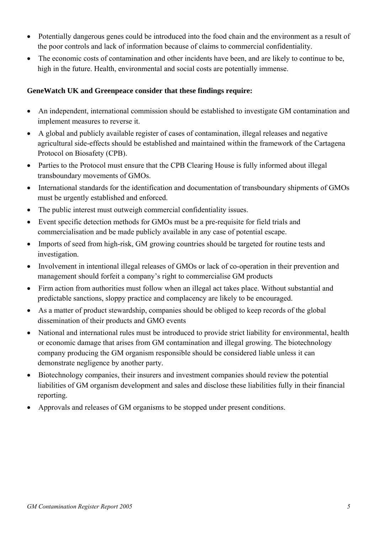- Potentially dangerous genes could be introduced into the food chain and the environment as a result of the poor controls and lack of information because of claims to commercial confidentiality.
- The economic costs of contamination and other incidents have been, and are likely to continue to be, high in the future. Health, environmental and social costs are potentially immense.

# **GeneWatch UK and Greenpeace consider that these findings require:**

- An independent, international commission should be established to investigate GM contamination and implement measures to reverse it.
- A global and publicly available register of cases of contamination, illegal releases and negative agricultural side-effects should be established and maintained within the framework of the Cartagena Protocol on Biosafety (CPB).
- Parties to the Protocol must ensure that the CPB Clearing House is fully informed about illegal transboundary movements of GMOs.
- International standards for the identification and documentation of transboundary shipments of GMOs must be urgently established and enforced.
- The public interest must outweigh commercial confidentiality issues.
- Event specific detection methods for GMOs must be a pre-requisite for field trials and commercialisation and be made publicly available in any case of potential escape.
- Imports of seed from high-risk, GM growing countries should be targeted for routine tests and investigation.
- Involvement in intentional illegal releases of GMOs or lack of co-operation in their prevention and management should forfeit a company's right to commercialise GM products
- Firm action from authorities must follow when an illegal act takes place. Without substantial and predictable sanctions, sloppy practice and complacency are likely to be encouraged.
- As a matter of product stewardship, companies should be obliged to keep records of the global dissemination of their products and GMO events
- National and international rules must be introduced to provide strict liability for environmental, health or economic damage that arises from GM contamination and illegal growing. The biotechnology company producing the GM organism responsible should be considered liable unless it can demonstrate negligence by another party.
- Biotechnology companies, their insurers and investment companies should review the potential liabilities of GM organism development and sales and disclose these liabilities fully in their financial reporting.
- Approvals and releases of GM organisms to be stopped under present conditions.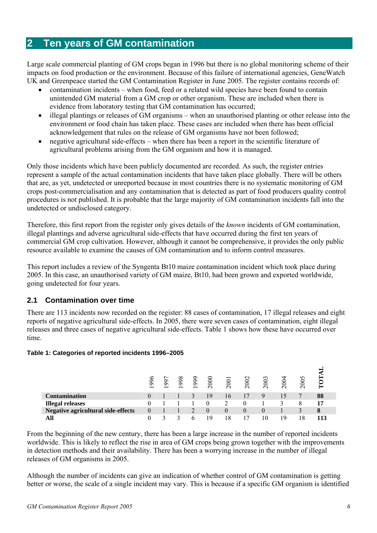# **2 Ten years of GM contamination**

Large scale commercial planting of GM crops began in 1996 but there is no global monitoring scheme of their impacts on food production or the environment. Because of this failure of international agencies, GeneWatch UK and Greenpeace started the GM Contamination Register in June 2005. The register contains records of:

- contamination incidents when food, feed or a related wild species have been found to contain unintended GM material from a GM crop or other organism. These are included when there is evidence from laboratory testing that GM contamination has occurred;
- illegal plantings or releases of GM organisms when an unauthorised planting or other release into the environment or food chain has taken place. These cases are included when there has been official acknowledgement that rules on the release of GM organisms have not been followed;
- negative agricultural side-effects when there has been a report in the scientific literature of agricultural problems arising from the GM organism and how it is managed.

Only those incidents which have been publicly documented are recorded. As such, the register entries represent a sample of the actual contamination incidents that have taken place globally. There will be others that are, as yet, undetected or unreported because in most countries there is no systematic monitoring of GM crops post-commercialisation and any contamination that is detected as part of food producers quality control procedures is not published. It is probable that the large majority of GM contamination incidents fall into the undetected or undisclosed category.

Therefore, this first report from the register only gives details of the *known* incidents of GM contamination, illegal plantings and adverse agricultural side-effects that have occurred during the first ten years of commercial GM crop cultivation. However, although it cannot be comprehensive, it provides the only public resource available to examine the causes of GM contamination and to inform control measures.

This report includes a review of the Syngenta Bt10 maize contamination incident which took place during 2005. In this case, an unauthorised variety of GM maize, Bt10, had been grown and exported worldwide, going undetected for four years.

# **2.1 Contamination over time**

There are 113 incidents now recorded on the register: 88 cases of contamination, 17 illegal releases and eight reports of negative agricultural side-effects. In 2005, there were seven cases of contamination, eight illegal releases and three cases of negative agricultural side-effects. Table 1 shows how these have occurred over time.

# **Table 1: Categories of reported incidents 1996–2005**

|                                           | €<br>9Ō<br>$\overline{\phantom{0}}$ | 99<br>$\overline{\phantom{0}}$ | $\infty$<br>$\mathcal{S}$<br>$\overline{\phantom{0}}$ | 66<br>$\overline{\phantom{0}}$ | 2000     | 2001 | 602<br>$\sim$            | 2003 | 200 | 2005 | $\epsilon$ |
|-------------------------------------------|-------------------------------------|--------------------------------|-------------------------------------------------------|--------------------------------|----------|------|--------------------------|------|-----|------|------------|
| <b>Contamination</b>                      |                                     |                                |                                                       |                                | 19       | I6   |                          |      | כ ו |      | 88         |
| <b>Illegal releases</b>                   |                                     |                                |                                                       |                                |          |      |                          |      |     |      |            |
| <b>Negative agricultural side-effects</b> |                                     |                                |                                                       |                                | $\theta$ |      |                          |      |     |      | 8          |
| All                                       |                                     |                                |                                                       |                                | 1 Q      | 18   | $\overline{\phantom{a}}$ | 10   | 19  | 18   |            |

From the beginning of the new century, there has been a large increase in the number of reported incidents worldwide. This is likely to reflect the rise in area of GM crops being grown together with the improvements in detection methods and their availability. There has been a worrying increase in the number of illegal releases of GM organisms in 2005.

Although the number of incidents can give an indication of whether control of GM contamination is getting better or worse, the scale of a single incident may vary. This is because if a specific GM organism is identified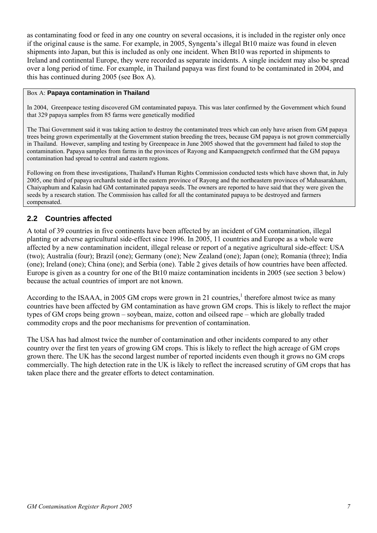as contaminating food or feed in any one country on several occasions, it is included in the register only once if the original cause is the same. For example, in 2005, Syngenta's illegal Bt10 maize was found in eleven shipments into Japan, but this is included as only one incident. When Bt10 was reported in shipments to Ireland and continental Europe, they were recorded as separate incidents. A single incident may also be spread over a long period of time. For example, in Thailand papaya was first found to be contaminated in 2004, and this has continued during 2005 (see Box A).

# Box A: **Papaya contamination in Thailand**

In 2004, Greenpeace testing discovered GM contaminated papaya. This was later confirmed by the Government which found that 329 papaya samples from 85 farms were genetically modified

The Thai Government said it was taking action to destroy the contaminated trees which can only have arisen from GM papaya trees being grown experimentally at the Government station breeding the trees, because GM papaya is not grown commercially in Thailand. However, sampling and testing by Greenpeace in June 2005 showed that the government had failed to stop the contamination. Papaya samples from farms in the provinces of Rayong and Kampaengpetch confirmed that the GM papaya contamination had spread to central and eastern regions.

Following on from these investigations, Thailand's Human Rights Commission conducted tests which have shown that, in July 2005, one third of papaya orchards tested in the eastern province of Rayong and the northeastern provinces of Mahasarakham, Chaiyaphum and Kalasin had GM contaminated papaya seeds. The owners are reported to have said that they were given the seeds by a research station. The Commission has called for all the contaminated papaya to be destroyed and farmers compensated.

# **2.2 Countries affected**

A total of 39 countries in five continents have been affected by an incident of GM contamination, illegal planting or adverse agricultural side-effect since 1996. In 2005, 11 countries and Europe as a whole were affected by a new contamination incident, illegal release or report of a negative agricultural side-effect: USA (two); Australia (four); Brazil (one); Germany (one); New Zealand (one); Japan (one); Romania (three); India (one); Ireland (one); China (one); and Serbia (one). Table 2 gives details of how countries have been affected. Europe is given as a country for one of the Bt10 maize contamination incidents in 2005 (see section 3 below) because the actual countries of import are not known.

According to the ISAAA, in 2005 GM crops were grown in 21 countries,<sup>1</sup> therefore almost twice as many countries have been affected by GM contamination as have grown GM crops. This is likely to reflect the major types of GM crops being grown – soybean, maize, cotton and oilseed rape – which are globally traded commodity crops and the poor mechanisms for prevention of contamination.

The USA has had almost twice the number of contamination and other incidents compared to any other country over the first ten years of growing GM crops. This is likely to reflect the high acreage of GM crops grown there. The UK has the second largest number of reported incidents even though it grows no GM crops commercially. The high detection rate in the UK is likely to reflect the increased scrutiny of GM crops that has taken place there and the greater efforts to detect contamination.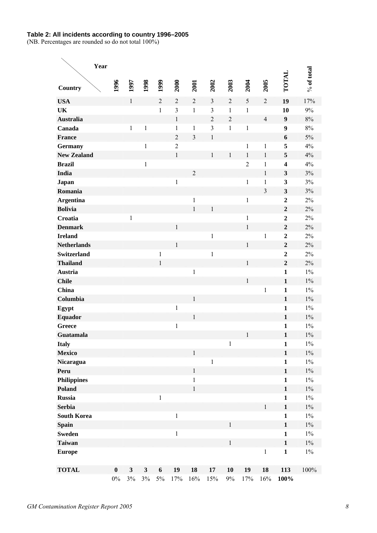# **Table 2: All incidents according to country 1996–2005**

(NB. Percentages are rounded so do not total 100%)

|                    | Year |                   |                                  |                                  |                           |                |                |                |                |                |                |                         |              |
|--------------------|------|-------------------|----------------------------------|----------------------------------|---------------------------|----------------|----------------|----------------|----------------|----------------|----------------|-------------------------|--------------|
| Country            |      | 1996              | 1997                             | 1998                             | 1999                      | 2000           | 2001           | 2002           | 2003           | 2004           | 2005           | TOTAL                   | $%$ of total |
| <b>USA</b>         |      |                   | $\mathbf{1}$                     |                                  | $\overline{2}$            | $\overline{2}$ | $\overline{2}$ | $\overline{3}$ | $\overline{2}$ | 5              | $\overline{2}$ | 19                      | 17%          |
| UK                 |      |                   |                                  |                                  | $\mathbf{1}$              | $\overline{3}$ | $\mathbf{1}$   | 3              | $\mathbf{1}$   | $\mathbf{1}$   |                | 10                      | 9%           |
| <b>Australia</b>   |      |                   |                                  |                                  |                           | $\mathbf{1}$   |                | $\overline{2}$ | $\overline{2}$ |                | $\overline{4}$ | $\boldsymbol{9}$        | 8%           |
| Canada             |      |                   | $\mathbf{1}$                     | $\mathbf{1}$                     |                           | $\mathbf{1}$   | $\mathbf{1}$   | $\overline{3}$ | $\mathbf{1}$   | $\mathbf{1}$   |                | 9                       | 8%           |
| <b>France</b>      |      |                   |                                  |                                  |                           | $\overline{2}$ | $\overline{3}$ | $\mathbf{1}$   |                |                |                | 6                       | 5%           |
| <b>Germany</b>     |      |                   |                                  | $\mathbf{1}$                     |                           | $\overline{2}$ |                |                |                | $\mathbf{1}$   | $\mathbf{1}$   | 5                       | 4%           |
| <b>New Zealand</b> |      |                   |                                  |                                  |                           | $\mathbf{1}$   |                | $\mathbf{1}$   | $\,1$          | $\mathbf{1}$   | $\mathbf{1}$   | 5                       | 4%           |
| <b>Brazil</b>      |      |                   |                                  | $\mathbf{1}$                     |                           |                |                |                |                | $\overline{2}$ | $\mathbf{1}$   | $\overline{\mathbf{4}}$ | 4%           |
| India              |      |                   |                                  |                                  |                           |                | $\overline{2}$ |                |                |                | $\mathbf{1}$   | 3                       | 3%           |
| Japan              |      |                   |                                  |                                  |                           | $\,1$          |                |                |                | $\mathbf{1}$   | 1              | 3                       | 3%           |
| Romania            |      |                   |                                  |                                  |                           |                |                |                |                |                | 3              | 3                       | 3%           |
| <b>Argentina</b>   |      |                   |                                  |                                  |                           |                | $\mathbf{1}$   |                |                | 1              |                | $\overline{2}$          | 2%           |
| <b>Bolivia</b>     |      |                   |                                  |                                  |                           |                | $\mathbf{1}$   | $\mathbf{1}$   |                |                |                | $\overline{2}$          | 2%           |
| Croatia            |      |                   | $\mathbf{1}$                     |                                  |                           |                |                |                |                | $\mathbf{1}$   |                | $\overline{2}$          | 2%           |
| <b>Denmark</b>     |      |                   |                                  |                                  |                           | $\mathbf{1}$   |                |                |                | $\mathbf{1}$   |                | $\overline{2}$          | 2%           |
| <b>Ireland</b>     |      |                   |                                  |                                  |                           |                |                | $\mathbf{1}$   |                |                | $\mathbf{1}$   | $\overline{2}$          | 2%           |
| <b>Netherlands</b> |      |                   |                                  |                                  |                           | $\mathbf{1}$   |                |                |                | $\mathbf{1}$   |                | $\overline{2}$          | 2%           |
| <b>Switzerland</b> |      |                   |                                  |                                  | $\mathbf{1}$              |                |                | $\mathbf{1}$   |                |                |                | $\overline{2}$          | 2%           |
| <b>Thailand</b>    |      |                   |                                  |                                  | $\mathbf{1}$              |                |                |                |                | $\mathbf{1}$   |                | $\overline{2}$          | 2%           |
| Austria            |      |                   |                                  |                                  |                           |                | $\mathbf{1}$   |                |                |                |                | $\mathbf{1}$            | $1\%$        |
| <b>Chile</b>       |      |                   |                                  |                                  |                           |                |                |                |                | $\mathbf{1}$   |                | $\mathbf{1}$            | $1\%$        |
| China              |      |                   |                                  |                                  |                           |                |                |                |                |                | $\mathbf{1}$   | $\mathbf{1}$            | $1\%$        |
| Columbia           |      |                   |                                  |                                  |                           |                | $\mathbf{1}$   |                |                |                |                | $\mathbf{1}$            | $1\%$        |
| Egypt              |      |                   |                                  |                                  |                           | $\,1$          |                |                |                |                |                | $\mathbf{1}$            | $1\%$        |
| <b>Equador</b>     |      |                   |                                  |                                  |                           |                | $\mathbf{1}$   |                |                |                |                | $\mathbf{1}$            | $1\%$        |
| <b>Greece</b>      |      |                   |                                  |                                  |                           | $\mathbf{1}$   |                |                |                |                |                | $\mathbf{1}$            | $1\%$        |
| Guatamala          |      |                   |                                  |                                  |                           |                |                |                |                | $\mathbf{1}$   |                | $\mathbf{1}$            | $1\%$        |
| <b>Italy</b>       |      |                   |                                  |                                  |                           |                |                |                | $\,1$          |                |                | $\mathbf{1}$            | $1\%$        |
| <b>Mexico</b>      |      |                   |                                  |                                  |                           |                | $\,1$          |                |                |                |                | $\mathbf{1}$            | $1\%$        |
| Nicaragua          |      |                   |                                  |                                  |                           |                |                | $\,1$          |                |                |                | $\mathbf{1}$            | $1\%$        |
| Peru               |      |                   |                                  |                                  |                           |                | $\,1\,$        |                |                |                |                | $\mathbf{1}$            | $1\%$        |
| <b>Philippines</b> |      |                   |                                  |                                  |                           |                | $\mathbf{1}$   |                |                |                |                | $\mathbf{1}$            | $1\%$        |
| Poland             |      |                   |                                  |                                  |                           |                | $\mathbf{1}$   |                |                |                |                | $\mathbf{1}$            | $1\%$        |
| <b>Russia</b>      |      |                   |                                  |                                  | $\mathbf{1}$              |                |                |                |                |                |                | $\mathbf{1}$            | $1\%$        |
| <b>Serbia</b>      |      |                   |                                  |                                  |                           |                |                |                |                |                | $\mathbf 1$    | $\mathbf{1}$            | $1\%$        |
| <b>South Korea</b> |      |                   |                                  |                                  |                           | $\,1\,$        |                |                |                |                |                | $\mathbf{1}$            | $1\%$        |
| <b>Spain</b>       |      |                   |                                  |                                  |                           |                |                |                | $\mathbf{1}$   |                |                | $\mathbf{1}$            | $1\%$        |
| <b>Sweden</b>      |      |                   |                                  |                                  |                           | $\mathbf{1}$   |                |                |                |                |                | $\mathbf{1}$            | $1\%$        |
| <b>Taiwan</b>      |      |                   |                                  |                                  |                           |                |                |                | $\mathbf{1}$   |                |                | $\mathbf{1}$            | $1\%$        |
| <b>Europe</b>      |      |                   |                                  |                                  |                           |                |                |                |                |                | $\mathbf{1}$   | $\mathbf{1}$            | $1\%$        |
| <b>TOTAL</b>       |      | $\bf{0}$<br>$0\%$ | $\overline{\mathbf{3}}$<br>$3\%$ | $\overline{\mathbf{3}}$<br>$3\%$ | $\boldsymbol{6}$<br>$5\%$ | 19<br>17%      | 18<br>16%      | $17\,$<br>15%  | 10<br>$9\%$    | 19<br>17%      | 18<br>16%      | 113<br>100%             | 100%         |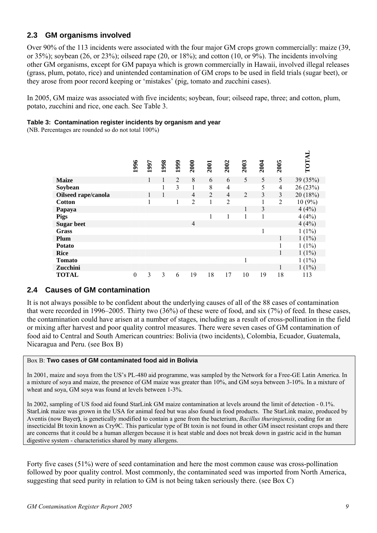# **2.3 GM organisms involved**

Over 90% of the 113 incidents were associated with the four major GM crops grown commercially: maize (39, or 35%); soybean (26, or 23%); oilseed rape (20, or 18%); and cotton (10, or 9%). The incidents involving other GM organisms, except for GM papaya which is grown commercially in Hawaii, involved illegal releases (grass, plum, potato, rice) and unintended contamination of GM crops to be used in field trials (sugar beet), or they arose from poor record keeping or 'mistakes' (pig, tomato and zucchini cases).

In 2005, GM maize was associated with five incidents; soybean, four; oilseed rape, three; and cotton, plum, potato, zucchini and rice, one each. See Table 3.

# **Table 3: Contamination register incidents by organism and year**

(NB. Percentages are rounded so do not total 100%)

|                     | 1996             | 1997 | 1998 | 1999           | 2000           | 2001           | 2002           | 2003 | 2004         | 2005           | TOTAL    |
|---------------------|------------------|------|------|----------------|----------------|----------------|----------------|------|--------------|----------------|----------|
| <b>Maize</b>        |                  | 1    | 1    | $\overline{2}$ | 8              | 6              | 6              | 5    | 5            | 5              | 39 (35%) |
| Soybean             |                  |      | 1    | 3              | 1              | 8              | 4              |      | 5            | $\overline{4}$ | 26(23%)  |
| Oilseed rape/canola |                  | 1    | 1    |                | $\overline{4}$ | $\overline{2}$ | 4              | 2    | 3            | 3              | 20(18%)  |
| <b>Cotton</b>       |                  | 1    |      | 1              | $\overline{2}$ | 1              | $\overline{2}$ |      | 1            | $\overline{2}$ | 10(9%)   |
| Papaya              |                  |      |      |                |                |                |                | 1    | 3            |                | 4(4%)    |
| <b>Pigs</b>         |                  |      |      |                |                | 1              |                | 1    | $\mathbf{1}$ |                | 4(4%)    |
| <b>Sugar beet</b>   |                  |      |      |                | $\overline{4}$ |                |                |      |              |                | 4(4%)    |
| <b>Grass</b>        |                  |      |      |                |                |                |                |      | 1            |                | $1(1\%)$ |
| Plum                |                  |      |      |                |                |                |                |      |              |                | $1(1\%)$ |
| <b>Potato</b>       |                  |      |      |                |                |                |                |      |              |                | $1(1\%)$ |
| <b>Rice</b>         |                  |      |      |                |                |                |                |      |              |                | $1(1\%)$ |
| <b>Tomato</b>       |                  |      |      |                |                |                |                | 1    |              |                | $1(1\%)$ |
| Zucchini            |                  |      |      |                |                |                |                |      |              | 1              | $1(1\%)$ |
| <b>TOTAL</b>        | $\boldsymbol{0}$ | 3    | 3    | 6              | 19             | 18             | 17             | 10   | 19           | 18             | 113      |

# **2.4 Causes of GM contamination**

It is not always possible to be confident about the underlying causes of all of the 88 cases of contamination that were recorded in 1996–2005. Thirty two (36%) of these were of food, and six (7%) of feed. In these cases, the contamination could have arisen at a number of stages, including as a result of cross-pollination in the field or mixing after harvest and poor quality control measures. There were seven cases of GM contamination of food aid to Central and South American countries: Bolivia (two incidents), Colombia, Ecuador, Guatemala, Nicaragua and Peru. (see Box B)

# Box B: **Two cases of GM contaminated food aid in Bolivia**

In 2001, maize and soya from the US's PL-480 aid programme, was sampled by the Network for a Free-GE Latin America. In a mixture of soya and maize, the presence of GM maize was greater than 10%, and GM soya between 3-10%. In a mixture of wheat and soya, GM soya was found at levels between 1-3%.

In 2002, sampling of US food aid found StarLink GM maize contamination at levels around the limit of detection - 0.1%. StarLink maize was grown in the USA for animal feed but was also found in food products. The StarLink maize, produced by Aventis (now Bayer**)**, is genetically modified to contain a gene from the bacterium, *Bacillus thuringiensis*, coding for an insecticidal Bt toxin known as Cry9C. This particular type of Bt toxin is not found in other GM insect resistant crops and there are concerns that it could be a human allergen because it is heat stable and does not break down in gastric acid in the human digestive system - characteristics shared by many allergens.

Forty five cases (51%) were of seed contamination and here the most common cause was cross-pollination followed by poor quality control. Most commonly, the contaminated seed was imported from North America, suggesting that seed purity in relation to GM is not being taken seriously there. (see Box C)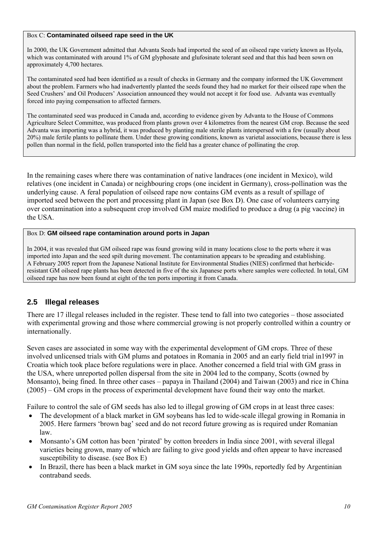# Box C: **Contaminated oilseed rape seed in the UK**

In 2000, the UK Government admitted that Advanta Seeds had imported the seed of an oilseed rape variety known as Hyola, which was contaminated with around 1% of GM glyphosate and glufosinate tolerant seed and that this had been sown on approximately 4,700 hectares.

The contaminated seed had been identified as a result of checks in Germany and the company informed the UK Government about the problem. Farmers who had inadvertently planted the seeds found they had no market for their oilseed rape when the Seed Crushers' and Oil Producers' Association announced they would not accept it for food use. Advanta was eventually forced into paying compensation to affected farmers.

The contaminated seed was produced in Canada and, according to evidence given by Advanta to the House of Commons Agriculture Select Committee, was produced from plants grown over 4 kilometres from the nearest GM crop. Because the seed Advanta was importing was a hybrid, it was produced by planting male sterile plants interspersed with a few (usually about 20%) male fertile plants to pollinate them. Under these growing conditions, known as varietal associations, because there is less pollen than normal in the field, pollen transported into the field has a greater chance of pollinating the crop.

In the remaining cases where there was contamination of native landraces (one incident in Mexico), wild relatives (one incident in Canada) or neighbouring crops (one incident in Germany), cross-pollination was the underlying cause. A feral population of oilseed rape now contains GM events as a result of spillage of imported seed between the port and processing plant in Japan (see Box D). One case of volunteers carrying over contamination into a subsequent crop involved GM maize modified to produce a drug (a pig vaccine) in the USA.

# Box D: **GM oilseed rape contamination around ports in Japan**

In 2004, it was revealed that GM oilseed rape was found growing wild in many locations close to the ports where it was imported into Japan and the seed spilt during movement. The contamination appears to be spreading and establishing. A February 2005 report from the Japanese National Institute for Environmental Studies (NIES) confirmed that herbicideresistant GM oilseed rape plants has been detected in five of the six Japanese ports where samples were collected. In total, GM oilseed rape has now been found at eight of the ten ports importing it from Canada.

# **2.5 Illegal releases**

There are 17 illegal releases included in the register. These tend to fall into two categories – those associated with experimental growing and those where commercial growing is not properly controlled within a country or internationally.

Seven cases are associated in some way with the experimental development of GM crops. Three of these involved unlicensed trials with GM plums and potatoes in Romania in 2005 and an early field trial in1997 in Croatia which took place before regulations were in place. Another concerned a field trial with GM grass in the USA, where unreported pollen dispersal from the site in 2004 led to the company, Scotts (owned by Monsanto), being fined. In three other cases – papaya in Thailand (2004) and Taiwan (2003) and rice in China (2005) – GM crops in the process of experimental development have found their way onto the market.

Failure to control the sale of GM seeds has also led to illegal growing of GM crops in at least three cases:

- The development of a black market in GM soybeans has led to wide-scale illegal growing in Romania in 2005. Here farmers 'brown bag' seed and do not record future growing as is required under Romanian law.
- Monsanto's GM cotton has been 'pirated' by cotton breeders in India since 2001, with several illegal varieties being grown, many of which are failing to give good yields and often appear to have increased susceptibility to disease. (see Box E)
- In Brazil, there has been a black market in GM soya since the late 1990s, reportedly fed by Argentinian contraband seeds.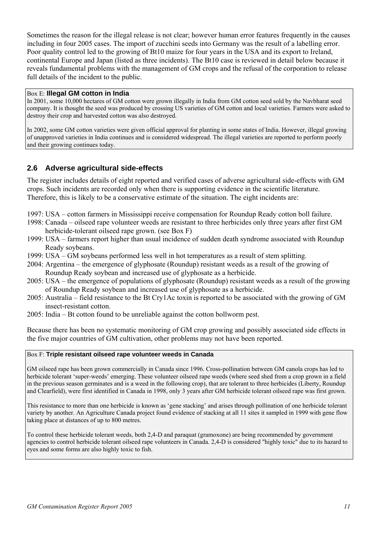Sometimes the reason for the illegal release is not clear; however human error features frequently in the causes including in four 2005 cases. The import of zucchini seeds into Germany was the result of a labelling error. Poor quality control led to the growing of Bt10 maize for four years in the USA and its export to Ireland, continental Europe and Japan (listed as three incidents). The Bt10 case is reviewed in detail below because it reveals fundamental problems with the management of GM crops and the refusal of the corporation to release full details of the incident to the public.

# Box E: **Illegal GM cotton in India**

In 2001, some 10,000 hectares of GM cotton were grown illegally in India from GM cotton seed sold by the Navbharat seed company. It is thought the seed was produced by crossing US varieties of GM cotton and local varieties. Farmers were asked to destroy their crop and harvested cotton was also destroyed.

In 2002, some GM cotton varieties were given official approval for planting in some states of India. However, illegal growing of unapproved varieties in India continues and is considered widespread. The illegal varieties are reported to perform poorly and their growing continues today.

# **2.6 Adverse agricultural side-effects**

The register includes details of eight reported and verified cases of adverse agricultural side-effects with GM crops. Such incidents are recorded only when there is supporting evidence in the scientific literature. Therefore, this is likely to be a conservative estimate of the situation. The eight incidents are:

- 1997: USA cotton farmers in Mississippi receive compensation for Roundup Ready cotton boll failure.
- 1998: Canada oilseed rape volunteer weeds are resistant to three herbicides only three years after first GM herbicide-tolerant oilseed rape grown. (see Box F)
- 1999: USA farmers report higher than usual incidence of sudden death syndrome associated with Roundup Ready soybeans.
- 1999: USA GM soybeans performed less well in hot temperatures as a result of stem splitting.
- 2004: Argentina the emergence of glyphosate (Roundup) resistant weeds as a result of the growing of Roundup Ready soybean and increased use of glyphosate as a herbicide.
- 2005: USA the emergence of populations of glyphosate (Roundup) resistant weeds as a result of the growing of Roundup Ready soybean and increased use of glyphosate as a herbicide.
- 2005: Australia field resistance to the Bt Cry1Ac toxin is reported to be associated with the growing of GM insect-resistant cotton.
- 2005: India Bt cotton found to be unreliable against the cotton bollworm pest.

Because there has been no systematic monitoring of GM crop growing and possibly associated side effects in the five major countries of GM cultivation, other problems may not have been reported.

# Box F: **Triple resistant oilseed rape volunteer weeds in Canada**

GM oilseed rape has been grown commercially in Canada since 1996. Cross-pollination between GM canola crops has led to herbicide tolerant 'super-weeds' emerging. These volunteer oilseed rape weeds (where seed shed from a crop grown in a field in the previous season germinates and is a weed in the following crop), that are tolerant to three herbicides (Liberty, Roundup and Clearfield), were first identified in Canada in 1998, only 3 years after GM herbicide tolerant oilseed rape was first grown.

This resistance to more than one herbicide is known as 'gene stacking' and arises through pollination of one herbicide tolerant variety by another. An Agriculture Canada project found evidence of stacking at all 11 sites it sampled in 1999 with gene flow taking place at distances of up to 800 metres.

To control these herbicide tolerant weeds, both 2,4-D and paraquat (gramoxone) are being recommended by government agencies to control herbicide tolerant oilseed rape volunteers in Canada. 2,4-D is considered "highly toxic" due to its hazard to eyes and some forms are also highly toxic to fish.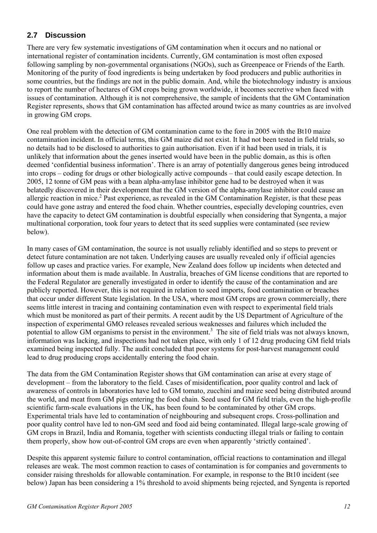# **2.7 Discussion**

There are very few systematic investigations of GM contamination when it occurs and no national or international register of contamination incidents. Currently, GM contamination is most often exposed following sampling by non-governmental organisations (NGOs), such as Greenpeace or Friends of the Earth. Monitoring of the purity of food ingredients is being undertaken by food producers and public authorities in some countries, but the findings are not in the public domain. And, while the biotechnology industry is anxious to report the number of hectares of GM crops being grown worldwide, it becomes secretive when faced with issues of contamination. Although it is not comprehensive, the sample of incidents that the GM Contamination Register represents, shows that GM contamination has affected around twice as many countries as are involved in growing GM crops.

One real problem with the detection of GM contamination came to the fore in 2005 with the Bt10 maize contamination incident. In official terms, this GM maize did not exist. It had not been tested in field trials, so no details had to be disclosed to authorities to gain authorisation. Even if it had been used in trials, it is unlikely that information about the genes inserted would have been in the public domain, as this is often deemed 'confidential business information'. There is an array of potentially dangerous genes being introduced into crops – coding for drugs or other biologically active compounds – that could easily escape detection. In 2005, 12 tonne of GM peas with a bean alpha-amylase inhibitor gene had to be destroyed when it was belatedly discovered in their development that the GM version of the alpha-amylase inhibitor could cause an allergic reaction in mice.<sup>2</sup> Past experience, as revealed in the GM Contamination Register, is that these peas could have gone astray and entered the food chain. Whether countries, especially developing countries, even have the capacity to detect GM contamination is doubtful especially when considering that Syngenta, a major multinational corporation, took four years to detect that its seed supplies were contaminated (see review below).

In many cases of GM contamination, the source is not usually reliably identified and so steps to prevent or detect future contamination are not taken. Underlying causes are usually revealed only if official agencies follow up cases and practice varies. For example, New Zealand does follow up incidents when detected and information about them is made available. In Australia, breaches of GM license conditions that are reported to the Federal Regulator are generally investigated in order to identify the cause of the contamination and are publicly reported. However, this is not required in relation to seed imports, food contamination or breaches that occur under different State legislation. In the USA, where most GM crops are grown commercially, there seems little interest in tracing and containing contamination even with respect to experimental field trials which must be monitored as part of their permits. A recent audit by the US Department of Agriculture of the inspection of experimental GMO releases revealed serious weaknesses and failures which included the potential to allow GM organisms to persist in the environment.<sup>3</sup> The site of field trials was not always known, information was lacking, and inspections had not taken place, with only 1 of 12 drug producing GM field trials examined being inspected fully. The audit concluded that poor systems for post-harvest management could lead to drug producing crops accidentally entering the food chain.

The data from the GM Contamination Register shows that GM contamination can arise at every stage of development – from the laboratory to the field. Cases of misidentification, poor quality control and lack of awareness of controls in laboratories have led to GM tomato, zucchini and maize seed being distributed around the world, and meat from GM pigs entering the food chain. Seed used for GM field trials, even the high-profile scientific farm-scale evaluations in the UK, has been found to be contaminated by other GM crops. Experimental trials have led to contamination of neighbouring and subsequent crops. Cross-pollination and poor quality control have led to non-GM seed and food aid being contaminated. Illegal large-scale growing of GM crops in Brazil, India and Romania, together with scientists conducting illegal trials or failing to contain them properly, show how out-of-control GM crops are even when apparently 'strictly contained'.

Despite this apparent systemic failure to control contamination, official reactions to contamination and illegal releases are weak. The most common reaction to cases of contamination is for companies and governments to consider raising thresholds for allowable contamination. For example, in response to the Bt10 incident (see below) Japan has been considering a 1% threshold to avoid shipments being rejected, and Syngenta is reported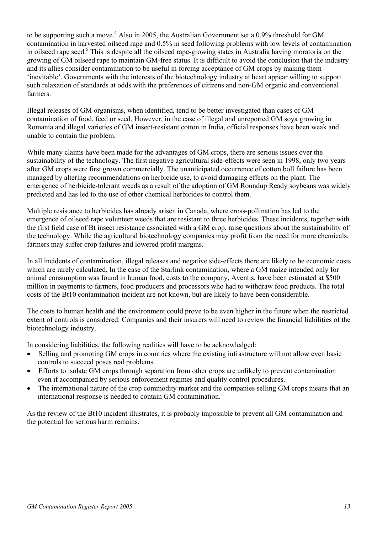to be supporting such a move.<sup>4</sup> Also in 2005, the Australian Government set a 0.9% threshold for GM contamination in harvested oilseed rape and 0.5% in seed following problems with low levels of contamination in oilseed rape seed.<sup>5</sup> This is despite all the oilseed rape-growing states in Australia having moratoria on the growing of GM oilseed rape to maintain GM-free status. It is difficult to avoid the conclusion that the industry and its allies consider contamination to be useful in forcing acceptance of GM crops by making them 'inevitable'. Governments with the interests of the biotechnology industry at heart appear willing to support such relaxation of standards at odds with the preferences of citizens and non-GM organic and conventional farmers.

Illegal releases of GM organisms, when identified, tend to be better investigated than cases of GM contamination of food, feed or seed. However, in the case of illegal and unreported GM soya growing in Romania and illegal varieties of GM insect-resistant cotton in India, official responses have been weak and unable to contain the problem.

While many claims have been made for the advantages of GM crops, there are serious issues over the sustainability of the technology. The first negative agricultural side-effects were seen in 1998, only two years after GM crops were first grown commercially. The unanticipated occurrence of cotton boll failure has been managed by altering recommendations on herbicide use, to avoid damaging effects on the plant. The emergence of herbicide-tolerant weeds as a result of the adoption of GM Roundup Ready soybeans was widely predicted and has led to the use of other chemical herbicides to control them.

Multiple resistance to herbicides has already arisen in Canada, where cross-pollination has led to the emergence of oilseed rape volunteer weeds that are resistant to three herbicides. These incidents, together with the first field case of Bt insect resistance associated with a GM crop, raise questions about the sustainability of the technology. While the agricultural biotechnology companies may profit from the need for more chemicals, farmers may suffer crop failures and lowered profit margins.

In all incidents of contamination, illegal releases and negative side-effects there are likely to be economic costs which are rarely calculated. In the case of the Starlink contamination, where a GM maize intended only for animal consumption was found in human food, costs to the company, Aventis, have been estimated at \$500 million in payments to farmers, food producers and processors who had to withdraw food products. The total costs of the Bt10 contamination incident are not known, but are likely to have been considerable.

The costs to human health and the environment could prove to be even higher in the future when the restricted extent of controls is considered. Companies and their insurers will need to review the financial liabilities of the biotechnology industry.

In considering liabilities, the following realities will have to be acknowledged:

- Selling and promoting GM crops in countries where the existing infrastructure will not allow even basic controls to succeed poses real problems.
- Efforts to isolate GM crops through separation from other crops are unlikely to prevent contamination even if accompanied by serious enforcement regimes and quality control procedures.
- The international nature of the crop commodity market and the companies selling GM crops means that an international response is needed to contain GM contamination.

As the review of the Bt10 incident illustrates, it is probably impossible to prevent all GM contamination and the potential for serious harm remains.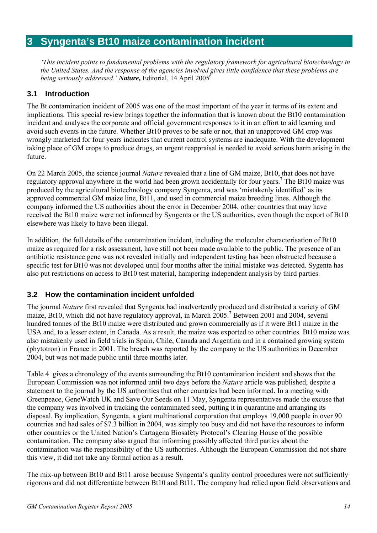# **3 Syngenta's Bt10 maize contamination incident**

*'This incident points to fundamental problems with the regulatory framework for agricultural biotechnology in the United States. And the response of the agencies involved gives little confidence that these problems are being seriously addressed.' Nature*, *Editorial*, 14 April 2005<sup>6</sup>

# **3.1 Introduction**

The Bt contamination incident of 2005 was one of the most important of the year in terms of its extent and implications. This special review brings together the information that is known about the Bt10 contamination incident and analyses the corporate and official government responses to it in an effort to aid learning and avoid such events in the future. Whether Bt10 proves to be safe or not, that an unapproved GM crop was wrongly marketed for four years indicates that current control systems are inadequate. With the development taking place of GM crops to produce drugs, an urgent reappraisal is needed to avoid serious harm arising in the future.

On 22 March 2005, the science journal *Nature* revealed that a line of GM maize, Bt10, that does not have regulatory approval anywhere in the world had been grown accidentally for four years.<sup>7</sup> The Bt10 maize was produced by the agricultural biotechnology company Syngenta, and was 'mistakenly identified' as its approved commercial GM maize line, Bt11, and used in commercial maize breeding lines. Although the company informed the US authorities about the error in December 2004, other countries that may have received the Bt10 maize were not informed by Syngenta or the US authorities, even though the export of Bt10 elsewhere was likely to have been illegal.

In addition, the full details of the contamination incident, including the molecular characterisation of Bt10 maize as required for a risk assessment, have still not been made available to the public. The presence of an antibiotic resistance gene was not revealed initially and independent testing has been obstructed because a specific test for Bt10 was not developed until four months after the initial mistake was detected. Sygenta has also put restrictions on access to Bt10 test material, hampering independent analysis by third parties.

# **3.2 How the contamination incident unfolded**

The journal *Nature* first revealed that Syngenta had inadvertently produced and distributed a variety of GM maize, Bt10, which did not have regulatory approval, in March 2005.<sup>7</sup> Between 2001 and 2004, several hundred tonnes of the Bt10 maize were distributed and grown commercially as if it were Bt11 maize in the USA and, to a lesser extent, in Canada. As a result, the maize was exported to other countries. Bt10 maize was also mistakenly used in field trials in Spain, Chile, Canada and Argentina and in a contained growing system (phytotron) in France in 2001. The breach was reported by the company to the US authorities in December 2004, but was not made public until three months later.

Table 4 gives a chronology of the events surrounding the Bt10 contamination incident and shows that the European Commission was not informed until two days before the *Nature* article was published, despite a statement to the journal by the US authorities that other countries had been informed. In a meeting with Greenpeace, GeneWatch UK and Save Our Seeds on 11 May, Syngenta representatives made the excuse that the company was involved in tracking the contaminated seed, putting it in quarantine and arranging its disposal. By implication, Syngenta, a giant multinational corporation that employs 19,000 people in over 90 countries and had sales of \$7.3 billion in 2004, was simply too busy and did not have the resources to inform other countries or the United Nation's Cartagena Biosafety Protocol's Clearing House of the possible contamination. The company also argued that informing possibly affected third parties about the contamination was the responsibility of the US authorities. Although the European Commission did not share this view, it did not take any formal action as a result.

The mix-up between Bt10 and Bt11 arose because Syngenta's quality control procedures were not sufficiently rigorous and did not differentiate between Bt10 and Bt11. The company had relied upon field observations and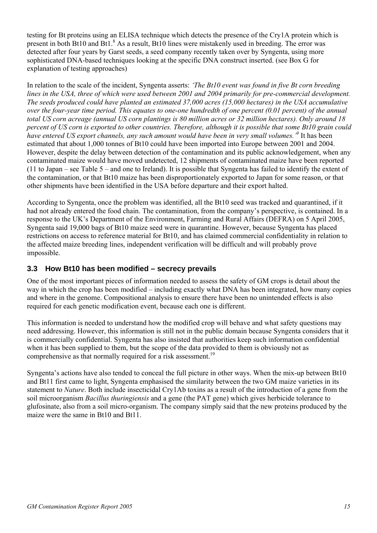testing for Bt proteins using an ELISA technique which detects the presence of the Cry1A protein which is present in both Bt10 and Bt1.<sup>8</sup> As a result, Bt10 lines were mistakenly used in breeding. The error was detected after four years by Garst seeds, a seed company recently taken over by Syngenta, using more sophisticated DNA-based techniques looking at the specific DNA construct inserted. (see Box G for explanation of testing approaches)

In relation to the scale of the incident, Syngenta asserts: *'The Bt10 event was found in five Bt corn breeding lines in the USA, three of which were used between 2001 and 2004 primarily for pre-commercial development. The seeds produced could have planted an estimated 37,000 acres (15,000 hectares) in the USA accumulative over the four-year time period. This equates to one-one hundredth of one percent (0.01 percent) of the annual total US corn acreage (annual US corn plantings is 80 million acres or 32 million hectares). Only around 18 percent of US corn is exported to other countries. Therefore, although it is possible that some Bt10 grain could have entered US export channels, any such amount would have been in very small volumes.'9* It has been estimated that about 1,000 tonnes of Bt10 could have been imported into Europe between 2001 and 2004. However, despite the delay between detection of the contamination and its public acknowledgement, when any contaminated maize would have moved undetected, 12 shipments of contaminated maize have been reported (11 to Japan – see Table 5 – and one to Ireland). It is possible that Syngenta has failed to identify the extent of the contamination, or that Bt10 maize has been disproportionately exported to Japan for some reason, or that other shipments have been identified in the USA before departure and their export halted.

According to Syngenta, once the problem was identified, all the Bt10 seed was tracked and quarantined, if it had not already entered the food chain. The contamination, from the company's perspective, is contained. In a response to the UK's Department of the Environment, Farming and Rural Affairs (DEFRA) on 5 April 2005, Syngenta said 19,000 bags of Bt10 maize seed were in quarantine. However, because Syngenta has placed restrictions on access to reference material for Bt10, and has claimed commercial confidentiality in relation to the affected maize breeding lines, independent verification will be difficult and will probably prove impossible.

# **3.3 How Bt10 has been modified – secrecy prevails**

One of the most important pieces of information needed to assess the safety of GM crops is detail about the way in which the crop has been modified – including exactly what DNA has been integrated, how many copies and where in the genome. Compositional analysis to ensure there have been no unintended effects is also required for each genetic modification event, because each one is different.

This information is needed to understand how the modified crop will behave and what safety questions may need addressing. However, this information is still not in the public domain because Syngenta considers that it is commercially confidential. Syngenta has also insisted that authorities keep such information confidential when it has been supplied to them, but the scope of the data provided to them is obviously not as comprehensive as that normally required for a risk assessment.<sup>19</sup>

Syngenta's actions have also tended to conceal the full picture in other ways. When the mix-up between Bt10 and Bt11 first came to light, Syngenta emphasised the similarity between the two GM maize varieties in its statement to *Nature*. Both include insecticidal Cry1Ab toxins as a result of the introduction of a gene from the soil microorganism *Bacillus thuringiensis* and a gene (the PAT gene) which gives herbicide tolerance to glufosinate, also from a soil micro-organism. The company simply said that the new proteins produced by the maize were the same in Bt10 and Bt11.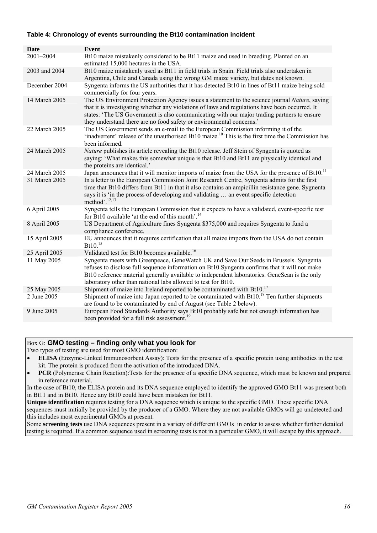# **Table 4: Chronology of events surrounding the Bt10 contamination incident**

| <b>Date</b>                | <b>Event</b>                                                                                                                                                                                                                                                                                                                                                          |
|----------------------------|-----------------------------------------------------------------------------------------------------------------------------------------------------------------------------------------------------------------------------------------------------------------------------------------------------------------------------------------------------------------------|
| 2001-2004                  | Bt10 maize mistakenly considered to be Bt11 maize and used in breeding. Planted on an<br>estimated 15,000 hectares in the USA.                                                                                                                                                                                                                                        |
| 2003 and 2004              | Bt10 maize mistakenly used as Bt11 in field trials in Spain. Field trials also undertaken in<br>Argentina, Chile and Canada using the wrong GM maize variety, but dates not known.                                                                                                                                                                                    |
| December 2004              | Syngenta informs the US authorities that it has detected Bt10 in lines of Bt11 maize being sold<br>commercially for four years.                                                                                                                                                                                                                                       |
| 14 March 2005              | The US Environment Protection Agency issues a statement to the science journal Nature, saying<br>that it is investigating whether any violations of laws and regulations have been occurred. It<br>states: 'The US Government is also communicating with our major trading partners to ensure<br>they understand there are no food safety or environmental concerns.' |
| 22 March 2005              | The US Government sends an e-mail to the European Commission informing it of the<br>'inadvertent' release of the unauthorised Bt10 maize. <sup>10</sup> This is the first time the Commission has<br>been informed.                                                                                                                                                   |
| 24 March 2005              | Nature publishes its article revealing the Bt10 release. Jeff Stein of Syngenta is quoted as<br>saying: 'What makes this somewhat unique is that Bt10 and Bt11 are physically identical and<br>the proteins are identical.'                                                                                                                                           |
| 24 March 2005              | Japan announces that it will monitor imports of maize from the USA for the presence of Bt10. <sup>11</sup>                                                                                                                                                                                                                                                            |
| 31 March 2005              | In a letter to the European Commission Joint Research Centre, Syngenta admits for the first<br>time that Bt10 differs from Bt11 in that it also contains an ampicillin resistance gene. Sygnenta<br>says it is 'in the process of developing and validating  an event specific detection<br>method'. $^{12,13}$                                                       |
| 6 April 2005               | Syngenta tells the European Commission that it expects to have a validated, event-specific test<br>for Bt10 available 'at the end of this month'. <sup>14</sup>                                                                                                                                                                                                       |
| 8 April 2005               | US Department of Agriculture fines Syngenta \$375,000 and requires Syngenta to fund a<br>compliance conference.                                                                                                                                                                                                                                                       |
| 15 April 2005              | EU announces that it requires certification that all maize imports from the USA do not contain<br>Bt10. <sup>15</sup>                                                                                                                                                                                                                                                 |
| 25 April 2005              | Validated test for Bt10 becomes available. <sup>16</sup>                                                                                                                                                                                                                                                                                                              |
| 11 May 2005                | Syngenta meets with Greenpeace, GeneWatch UK and Save Our Seeds in Brussels. Syngenta<br>refuses to disclose full sequence information on Bt10. Syngenta confirms that it will not make<br>Bt10 reference material generally available to independent laboratories. GeneScan is the only<br>laboratory other than national labs allowed to test for Bt10.             |
| 25 May 2005<br>2 June 2005 | Shipment of maize into Ireland reported to be contaminated with Bt10. <sup>17</sup><br>Shipment of maize into Japan reported to be contaminated with Bt10. <sup>18</sup> Ten further shipments<br>are found to be contaminated by end of August (see Table 2 below).                                                                                                  |
| 9 June 2005                | European Food Standards Authority says Bt10 probably safe but not enough information has<br>been provided for a full risk assessment. <sup>19</sup>                                                                                                                                                                                                                   |

# Box G: **GMO testing – finding only what you look for**

Two types of testing are used for most GMO identification:

• **PCR** (Polymerase Chain Reaction):Tests for the presence of a specific DNA sequence, which must be known and prepared in reference material.

In the case of Bt10, the ELISA protein and its DNA sequence employed to identify the approved GMO Bt11 was present both in Bt11 and in Bt10. Hence any Bt10 could have been mistaken for Bt11.

**Unique identification** requires testing for a DNA sequence which is unique to the specific GMO. These specific DNA sequences must initially be provided by the producer of a GMO. Where they are not available GMOs will go undetected and this includes most experimental GMOs at present.

Some **screening tests** use DNA sequences present in a variety of different GMOs in order to assess whether further detailed testing is required. If a common sequence used in screening tests is not in a particular GMO, it will escape by this approach.

<sup>•</sup> **ELISA** (Enzyme-Linked Immunosorbent Assay): Tests for the presence of a specific protein using antibodies in the test kit. The protein is produced from the activation of the introduced DNA.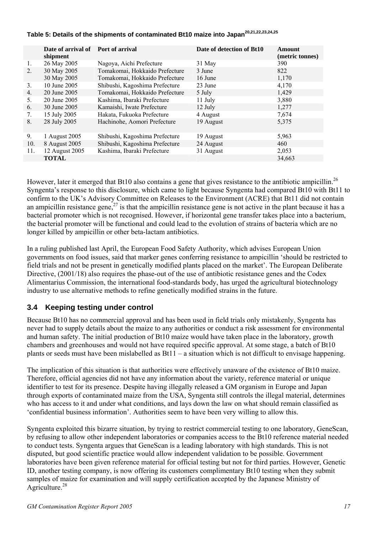|     | Date of arrival of | <b>Port of arrival</b>         | Date of detection of Bt10 | <b>Amount</b>   |
|-----|--------------------|--------------------------------|---------------------------|-----------------|
|     | shipment           |                                |                           | (metric tonnes) |
| 1.  | 26 May 2005        | Nagoya, Aichi Prefecture       | 31 May                    | 390             |
| 2.  | 30 May 2005        | Tomakomai, Hokkaido Prefecture | 3 June                    | 822             |
|     | 30 May 2005        | Tomakomai, Hokkaido Prefecture | 16 June                   | 1,170           |
| 3.  | 10 June 2005       | Shibushi, Kagoshima Prefecture | 23 June                   | 4,170           |
| 4.  | 20 June 2005       | Tomakomai, Hokkaido Prefecture | 5 July                    | 1,429           |
| 5.  | 20 June 2005       | Kashima, Ibaraki Prefecture    | 11 July                   | 3,880           |
| 6.  | 30 June 2005       | Kamaishi, Iwate Prefecture     | 12 July                   | 1,277           |
| 7.  | 15 July 2005       | Hakata, Fukuoka Prefecture     | 4 August                  | 7,674           |
| 8.  | 28 July 2005       | Hachinohe, Aomori Prefecture   | 19 August                 | 5,375           |
|     |                    |                                |                           |                 |
| 9.  | 1 August 2005      | Shibushi, Kagoshima Prefecture | 19 August                 | 5,963           |
| 10. | 8 August 2005      | Shibushi, Kagoshima Prefecture | 24 August                 | 460             |
| 11. | 12 August 2005     | Kashima, Ibaraki Prefecture    | 31 August                 | 2,053           |
|     | <b>TOTAL</b>       |                                |                           | 34,663          |

# **Table 5: Details of the shipments of contaminated Bt10 maize into Japan20,21,22,23,24,25**

However, later it emerged that Bt10 also contains a gene that gives resistance to the antibiotic ampicillin.<sup>26</sup> Syngenta's response to this disclosure, which came to light because Syngenta had compared Bt10 with Bt11 to confirm to the UK's Advisory Committee on Releases to the Environment (ACRE) that Bt11 did not contain an ampicillin resistance gene,<sup>27</sup> is that the ampicillin resistance gene is not active in the plant because it has a bacterial promoter which is not recognised. However, if horizontal gene transfer takes place into a bacterium, the bacterial promoter will be functional and could lead to the evolution of strains of bacteria which are no longer killed by ampicillin or other beta-lactam antibiotics.

In a ruling published last April, the European Food Safety Authority, which advises European Union governments on food issues, said that marker genes conferring resistance to ampicillin 'should be restricted to field trials and not be present in genetically modified plants placed on the market'. The European Deliberate Directive, (2001/18) also requires the phase-out of the use of antibiotic resistance genes and the Codex Alimentarius Commission, the international food-standards body, has urged the agricultural biotechnology industry to use alternative methods to refine genetically modified strains in the future.

# **3.4 Keeping testing under control**

Because Bt10 has no commercial approval and has been used in field trials only mistakenly, Syngenta has never had to supply details about the maize to any authorities or conduct a risk assessment for environmental and human safety. The initial production of Bt10 maize would have taken place in the laboratory, growth chambers and greenhouses and would not have required specific approval. At some stage, a batch of Bt10 plants or seeds must have been mislabelled as Bt11 – a situation which is not difficult to envisage happening.

The implication of this situation is that authorities were effectively unaware of the existence of Bt10 maize. Therefore, official agencies did not have any information about the variety, reference material or unique identifier to test for its presence. Despite having illegally released a GM organism in Europe and Japan through exports of contaminated maize from the USA, Syngenta still controls the illegal material, determines who has access to it and under what conditions, and lays down the law on what should remain classified as 'confidential business information'. Authorities seem to have been very willing to allow this.

Syngenta exploited this bizarre situation, by trying to restrict commercial testing to one laboratory, GeneScan, by refusing to allow other independent laboratories or companies access to the Bt10 reference material needed to conduct tests. Syngenta argues that GeneScan is a leading laboratory with high standards. This is not disputed, but good scientific practice would allow independent validation to be possible. Government laboratories have been given reference material for official testing but not for third parties. However, Genetic ID, another testing company, is now offering its customers complimentary Bt10 testing when they submit samples of maize for examination and will supply certification accepted by the Japanese Ministry of Agriculture.<sup>28</sup>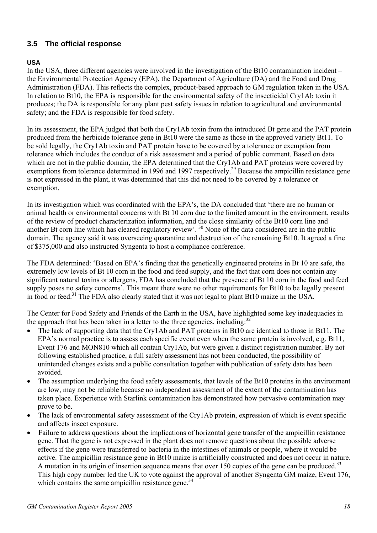# **3.5 The official response**

# **USA**

In the USA, three different agencies were involved in the investigation of the Bt10 contamination incident – the Environmental Protection Agency (EPA), the Department of Agriculture (DA) and the Food and Drug Administration (FDA). This reflects the complex, product-based approach to GM regulation taken in the USA. In relation to Bt10, the EPA is responsible for the environmental safety of the insecticidal Cry1Ab toxin it produces; the DA is responsible for any plant pest safety issues in relation to agricultural and environmental safety; and the FDA is responsible for food safety.

In its assessment, the EPA judged that both the Cry1Ab toxin from the introduced Bt gene and the PAT protein produced from the herbicide tolerance gene in Bt10 were the same as those in the approved variety Bt11. To be sold legally, the Cry1Ab toxin and PAT protein have to be covered by a tolerance or exemption from tolerance which includes the conduct of a risk assessment and a period of public comment. Based on data which are not in the public domain, the EPA determined that the Cry1Ab and PAT proteins were covered by exemptions from tolerance determined in 1996 and 1997 respectively.<sup>29</sup> Because the ampicillin resistance gene is not expressed in the plant, it was determined that this did not need to be covered by a tolerance or exemption.

In its investigation which was coordinated with the EPA's, the DA concluded that 'there are no human or animal health or environmental concerns with Bt 10 corn due to the limited amount in the environment, results of the review of product characterization information, and the close similarity of the Bt10 corn line and another Bt corn line which has cleared regulatory review'. 30 None of the data considered are in the public domain. The agency said it was overseeing quarantine and destruction of the remaining Bt10. It agreed a fine of \$375,000 and also instructed Syngenta to host a compliance conference.

The FDA determined: 'Based on EPA's finding that the genetically engineered proteins in Bt 10 are safe, the extremely low levels of Bt 10 corn in the food and feed supply, and the fact that corn does not contain any significant natural toxins or allergens, FDA has concluded that the presence of Bt 10 corn in the food and feed supply poses no safety concerns'. This meant there were no other requirements for Bt10 to be legally present in food or feed.<sup>31</sup> The FDA also clearly stated that it was not legal to plant Bt10 maize in the USA.

The Center for Food Safety and Friends of the Earth in the USA, have highlighted some key inadequacies in the approach that has been taken in a letter to the three agencies, including: $32$ 

- The lack of supporting data that the Cry1Ab and PAT proteins in Bt10 are identical to those in Bt11. The EPA's normal practice is to assess each specific event even when the same protein is involved, e.g. Bt11, Event 176 and MON810 which all contain Cry1Ab, but were given a distinct registration number. By not following established practice, a full safety assessment has not been conducted, the possibility of unintended changes exists and a public consultation together with publication of safety data has been avoided.
- The assumption underlying the food safety assessments, that levels of the Bt10 proteins in the environment are low, may not be reliable because no independent assessment of the extent of the contamination has taken place. Experience with Starlink contamination has demonstrated how pervasive contamination may prove to be.
- The lack of environmental safety assessment of the Cry1Ab protein, expression of which is event specific and affects insect exposure.
- Failure to address questions about the implications of horizontal gene transfer of the ampicillin resistance gene. That the gene is not expressed in the plant does not remove questions about the possible adverse effects if the gene were transferred to bacteria in the intestines of animals or people, where it would be active. The ampicillin resistance gene in Bt10 maize is artificially constructed and does not occur in nature. A mutation in its origin of insertion sequence means that over 150 copies of the gene can be produced.<sup>33</sup> This high copy number led the UK to vote against the approval of another Syngenta GM maize, Event 176, which contains the same ampicillin resistance gene. $34$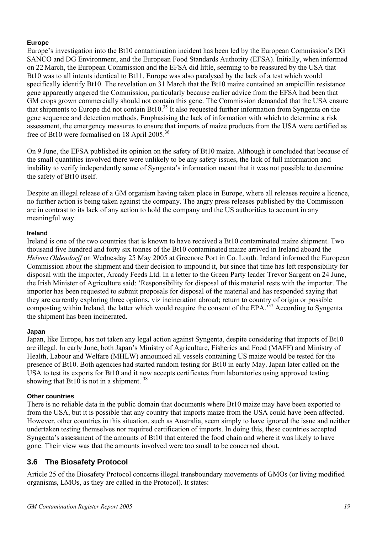# **Europe**

Europe's investigation into the Bt10 contamination incident has been led by the European Commission's DG SANCO and DG Environment, and the European Food Standards Authority (EFSA). Initially, when informed on 22 March, the European Commission and the EFSA did little, seeming to be reassured by the USA that Bt10 was to all intents identical to Bt11. Europe was also paralysed by the lack of a test which would specifically identify Bt10. The revelation on 31 March that the Bt10 maize contained an ampicillin resistance gene apparently angered the Commission, particularly because earlier advice from the EFSA had been that GM crops grown commercially should not contain this gene. The Commission demanded that the USA ensure that shipments to Europe did not contain Bt10.35 It also requested further information from Syngenta on the gene sequence and detection methods. Emphasising the lack of information with which to determine a risk assessment, the emergency measures to ensure that imports of maize products from the USA were certified as free of Bt10 were formalised on 18 April 2005.36

On 9 June, the EFSA published its opinion on the safety of Bt10 maize. Although it concluded that because of the small quantities involved there were unlikely to be any safety issues, the lack of full information and inability to verify independently some of Syngenta's information meant that it was not possible to determine the safety of Bt10 itself.

Despite an illegal release of a GM organism having taken place in Europe, where all releases require a licence, no further action is being taken against the company. The angry press releases published by the Commission are in contrast to its lack of any action to hold the company and the US authorities to account in any meaningful way.

# **Ireland**

Ireland is one of the two countries that is known to have received a Bt10 contaminated maize shipment. Two thousand five hundred and forty six tonnes of the Bt10 contaminated maize arrived in Ireland aboard the *Helena Oldendorff* on Wednesday 25 May 2005 at Greenore Port in Co. Louth. Ireland informed the European Commission about the shipment and their decision to impound it, but since that time has left responsibility for disposal with the importer, Arcady Feeds Ltd. In a letter to the Green Party leader Trevor Sargent on 24 June, the Irish Minister of Agriculture said: 'Responsibility for disposal of this material rests with the importer. The importer has been requested to submit proposals for disposal of the material and has responded saying that they are currently exploring three options, viz incineration abroad; return to country of origin or possible composting within Ireland, the latter which would require the consent of the EPA.'37 According to Syngenta the shipment has been incinerated.

# **Japan**

Japan, like Europe, has not taken any legal action against Syngenta, despite considering that imports of Bt10 are illegal. In early June, both Japan's Ministry of Agriculture, Fisheries and Food (MAFF) and Ministry of Health, Labour and Welfare (MHLW) announced all vessels containing US maize would be tested for the presence of Bt10. Both agencies had started random testing for Bt10 in early May. Japan later called on the USA to test its exports for Bt10 and it now accepts certificates from laboratories using approved testing showing that Bt10 is not in a shipment.  $38$ 

# **Other countries**

There is no reliable data in the public domain that documents where Bt10 maize may have been exported to from the USA, but it is possible that any country that imports maize from the USA could have been affected. However, other countries in this situation, such as Australia, seem simply to have ignored the issue and neither undertaken testing themselves nor required certification of imports. In doing this, these countries accepted Syngenta's assessment of the amounts of Bt10 that entered the food chain and where it was likely to have gone. Their view was that the amounts involved were too small to be concerned about.

# **3.6 The Biosafety Protocol**

Article 25 of the Biosafety Protocol concerns illegal transboundary movements of GMOs (or living modified organisms, LMOs, as they are called in the Protocol). It states: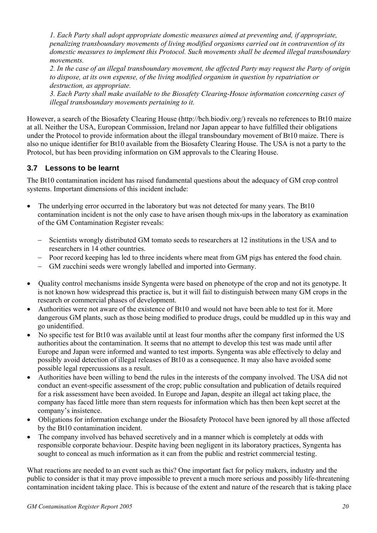*1. Each Party shall adopt appropriate domestic measures aimed at preventing and, if appropriate, penalizing transboundary movements of living modified organisms carried out in contravention of its domestic measures to implement this Protocol. Such movements shall be deemed illegal transboundary movements.* 

*2. In the case of an illegal transboundary movement, the affected Party may request the Party of origin to dispose, at its own expense, of the living modified organism in question by repatriation or destruction, as appropriate.* 

*3. Each Party shall make available to the Biosafety Clearing-House information concerning cases of illegal transboundary movements pertaining to it.* 

However, a search of the Biosafety Clearing House (http://bch.biodiv.org/) reveals no references to Bt10 maize at all. Neither the USA, European Commission, Ireland nor Japan appear to have fulfilled their obligations under the Protocol to provide information about the illegal transboundary movement of Bt10 maize. There is also no unique identifier for Bt10 available from the Biosafety Clearing House. The USA is not a party to the Protocol, but has been providing information on GM approvals to the Clearing House.

# **3.7 Lessons to be learnt**

The Bt10 contamination incident has raised fundamental questions about the adequacy of GM crop control systems. Important dimensions of this incident include:

- The underlying error occurred in the laboratory but was not detected for many years. The Bt10 contamination incident is not the only case to have arisen though mix-ups in the laboratory as examination of the GM Contamination Register reveals:
	- − Scientists wrongly distributed GM tomato seeds to researchers at 12 institutions in the USA and to researchers in 14 other countries.
	- − Poor record keeping has led to three incidents where meat from GM pigs has entered the food chain.
	- − GM zucchini seeds were wrongly labelled and imported into Germany.
- Quality control mechanisms inside Syngenta were based on phenotype of the crop and not its genotype. It is not known how widespread this practice is, but it will fail to distinguish between many GM crops in the research or commercial phases of development.
- Authorities were not aware of the existence of Bt10 and would not have been able to test for it. More dangerous GM plants, such as those being modified to produce drugs, could be muddled up in this way and go unidentified.
- No specific test for Bt10 was available until at least four months after the company first informed the US authorities about the contamination. It seems that no attempt to develop this test was made until after Europe and Japan were informed and wanted to test imports. Syngenta was able effectively to delay and possibly avoid detection of illegal releases of Bt10 as a consequence. It may also have avoided some possible legal repercussions as a result.
- Authorities have been willing to bend the rules in the interests of the company involved. The USA did not conduct an event-specific assessment of the crop; public consultation and publication of details required for a risk assessment have been avoided. In Europe and Japan, despite an illegal act taking place, the company has faced little more than stern requests for information which has then been kept secret at the company's insistence.
- Obligations for information exchange under the Biosafety Protocol have been ignored by all those affected by the Bt10 contamination incident.
- The company involved has behaved secretively and in a manner which is completely at odds with responsible corporate behaviour. Despite having been negligent in its laboratory practices, Syngenta has sought to conceal as much information as it can from the public and restrict commercial testing.

What reactions are needed to an event such as this? One important fact for policy makers, industry and the public to consider is that it may prove impossible to prevent a much more serious and possibly life-threatening contamination incident taking place. This is because of the extent and nature of the research that is taking place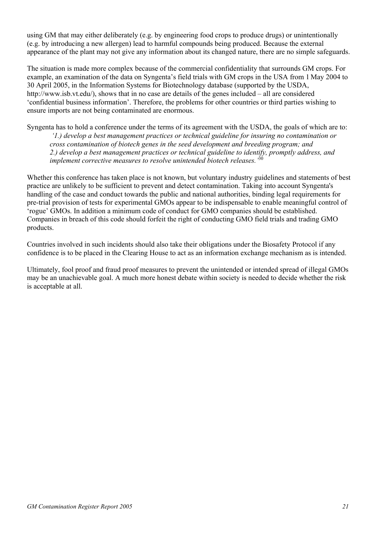using GM that may either deliberately (e.g. by engineering food crops to produce drugs) or unintentionally (e.g. by introducing a new allergen) lead to harmful compounds being produced. Because the external appearance of the plant may not give any information about its changed nature, there are no simple safeguards.

The situation is made more complex because of the commercial confidentiality that surrounds GM crops. For example, an examination of the data on Syngenta's field trials with GM crops in the USA from 1 May 2004 to 30 April 2005, in the Information Systems for Biotechnology database (supported by the USDA, http://www.isb.vt.edu/), shows that in no case are details of the genes included – all are considered 'confidential business information'. Therefore, the problems for other countries or third parties wishing to ensure imports are not being contaminated are enormous.

Syngenta has to hold a conference under the terms of its agreement with the USDA, the goals of which are to: *'1.) develop a best management practices or technical guideline for insuring no contamination or cross contamination of biotech genes in the seed development and breeding program; and 2.) develop a best management practices or technical guideline to identify, promptly address, and implement corrective measures to resolve unintended biotech releases.'*<sup>30</sup>

Whether this conference has taken place is not known, but voluntary industry guidelines and statements of best practice are unlikely to be sufficient to prevent and detect contamination. Taking into account Syngenta's handling of the case and conduct towards the public and national authorities, binding legal requirements for pre-trial provision of tests for experimental GMOs appear to be indispensable to enable meaningful control of 'rogue' GMOs. In addition a minimum code of conduct for GMO companies should be established. Companies in breach of this code should forfeit the right of conducting GMO field trials and trading GMO products.

Countries involved in such incidents should also take their obligations under the Biosafety Protocol if any confidence is to be placed in the Clearing House to act as an information exchange mechanism as is intended.

Ultimately, fool proof and fraud proof measures to prevent the unintended or intended spread of illegal GMOs may be an unachievable goal. A much more honest debate within society is needed to decide whether the risk is acceptable at all.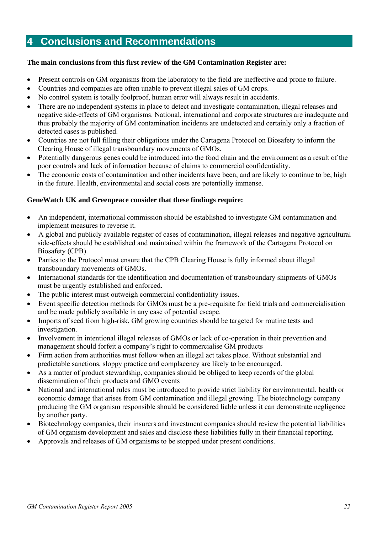# **4 Conclusions and Recommendations**

# **The main conclusions from this first review of the GM Contamination Register are:**

- Present controls on GM organisms from the laboratory to the field are ineffective and prone to failure.
- Countries and companies are often unable to prevent illegal sales of GM crops.
- No control system is totally foolproof, human error will always result in accidents.
- There are no independent systems in place to detect and investigate contamination, illegal releases and negative side-effects of GM organisms. National, international and corporate structures are inadequate and thus probably the majority of GM contamination incidents are undetected and certainly only a fraction of detected cases is published.
- Countries are not full filling their obligations under the Cartagena Protocol on Biosafety to inform the Clearing House of illegal transboundary movements of GMOs.
- Potentially dangerous genes could be introduced into the food chain and the environment as a result of the poor controls and lack of information because of claims to commercial confidentiality.
- The economic costs of contamination and other incidents have been, and are likely to continue to be, high in the future. Health, environmental and social costs are potentially immense.

# **GeneWatch UK and Greenpeace consider that these findings require:**

- An independent, international commission should be established to investigate GM contamination and implement measures to reverse it.
- A global and publicly available register of cases of contamination, illegal releases and negative agricultural side-effects should be established and maintained within the framework of the Cartagena Protocol on Biosafety (CPB).
- Parties to the Protocol must ensure that the CPB Clearing House is fully informed about illegal transboundary movements of GMOs.
- International standards for the identification and documentation of transboundary shipments of GMOs must be urgently established and enforced.
- The public interest must outweigh commercial confidentiality issues.
- Event specific detection methods for GMOs must be a pre-requisite for field trials and commercialisation and be made publicly available in any case of potential escape.
- Imports of seed from high-risk, GM growing countries should be targeted for routine tests and investigation.
- Involvement in intentional illegal releases of GMOs or lack of co-operation in their prevention and management should forfeit a company's right to commercialise GM products
- Firm action from authorities must follow when an illegal act takes place. Without substantial and predictable sanctions, sloppy practice and complacency are likely to be encouraged.
- As a matter of product stewardship, companies should be obliged to keep records of the global dissemination of their products and GMO events
- National and international rules must be introduced to provide strict liability for environmental, health or economic damage that arises from GM contamination and illegal growing. The biotechnology company producing the GM organism responsible should be considered liable unless it can demonstrate negligence by another party.
- Biotechnology companies, their insurers and investment companies should review the potential liabilities of GM organism development and sales and disclose these liabilities fully in their financial reporting.
- Approvals and releases of GM organisms to be stopped under present conditions.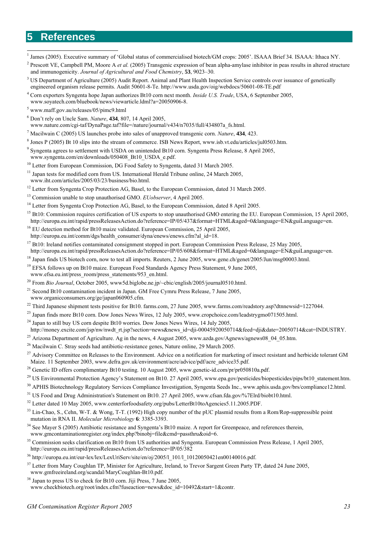# **5 References**

1 James (2005). Executive summary of 'Global status of commercialised biotech/GM crops: 2005'. ISAAA Brief 34. ISAAA: Ithaca NY.

- <sup>3</sup> US Department of Agriculture (2005) Audit Report. Animal and Plant Health Inspection Service controls over issuance of genetically engineered organism release permits. Audit 50601-8-Te. http://www.usda.gov/oig/webdocs/50601-08-TE.pdf
- 4 Corn exporters Syngenta hope Japan authorizes Bt10 corn next month. *Inside U.S. Trade*, USA, 6 September 2005, www.soyatech.com/bluebook/news/viewarticle.ldml?a=20050906-8.
- 5 www.maff.gov.au/releases/05/pimc9.html
- 6 Don't rely on Uncle Sam. *Nature*, **434**, 807, 14 April 2005,

www.nature.com/cgi-taf/DynaPage.taf?file=/nature/journal/v434/n7035/full/434807a\_fs.html.

- 7 Macilwain C (2005) US launches probe into sales of unapproved transgenic corn. *Nature*, **434**, 423.
- 8 Jones P (2005) Bt 10 slips into the stream of commerce. ISB News Report, www.isb.vt.edu/articles/jul0503.htm.
- <sup>9</sup> Syngenta agrees to settlement with USDA on unintended Bt10 corn. Syngenta Press Release, 8 April 2005, www.syngenta.com/en/downloads/050408\_Bt10\_USDA\_e.pdf.
- <sup>10</sup> Letter from European Commission, DG Food Safety to Syngenta, dated 31 March 2005.
- <sup>11</sup> Japan tests for modified corn from US. International Herald Tribune online, 24 March 2005, www.iht.com/articles/2005/03/23/business/bio.html.
- <sup>12</sup> Letter from Syngenta Crop Protection AG, Basel, to the European Commission, dated 31 March 2005.
- <sup>13</sup> Commission unable to stop unauthorised GMO. *EUobserver*, 4 April 2005.
- <sup>14</sup> Letter from Syngenta Crop Protection AG, Basel, to the European Commission, dated 8 April 2005.
- <sup>15</sup> Bt10: Commission requires certification of US exports to stop unauthorised GMO entering the EU. European Commission, 15 April 2005, http://europa.eu.int/rapid/pressReleasesAction.do?reference=IP/05/437&format=HTML&aged=0&language=EN&guiLanguage=en.
- <sup>16</sup> EU detection method for Bt10 maize validated. European Commission, 25 April 2005, http://europa.eu.int/comm/dgs/health\_consumer/dyna/enews/enews.cfm?al\_id=18.
- <sup>17</sup> Bt10: Ireland notifies contaminated consignment stopped in port. European Commission Press Release, 25 May 2005, http://europa.eu.int/rapid/pressReleasesAction.do?reference=IP/05/608&format=HTML&aged=0&language=EN&guiLanguage=en.
- <sup>18</sup> Japan finds US biotech corn, now to test all imports. Reuters, 2 June 2005, www.gene.ch/genet/2005/Jun/msg00003.html.
- <sup>19</sup> EFSA follows up on Bt10 maize. European Food Standards Agency Press Statement, 9 June 2005. www.efsa.eu.int/press\_room/press\_statements/953\_en.html.
- <sup>20</sup> From *Bio Journal*, October 2005, www5d.biglobe.ne.jp/~cbic/english/2005/journal0510.html.
- $21$  Second Bt10 contamination incident in Japan. GM Free Cymru Press Release, 7 June 2005, www.organicconsumers.org/ge/japan060905.cfm.
- $^{22}$  Third Japanese shipment tests positive for Bt10. farms.com, 27 June 2005, www.farms.com/readstory.asp?dtnnewsid=1227044.
- <sup>23</sup> Japan finds more Bt10 corn. Dow Jones News Wires, 12 July 2005, www.cropchoice.com/leadstrygmo071505.html.
- $^{24}$  Japan to still buy US corn despite Bt10 worries. Dow Jones News Wires, 14 July 2005,
- http://money.excite.com/jsp/nw/nwdt\_rt.jsp?section=news&news\_id=dji-00045920050714&feed=dji&date=20050714&cat=INDUSTRY.
- <sup>25</sup> Arizona Department of Agriculture. Ag in the news, 4 August 2005, www.azda.gov/Agnews/agnews08\_04\_05.htm.
- $^{26}$  Macilwain C. Stray seeds had antibiotic-resistance genes, Nature online, 29 March 2005.
- <sup>27</sup> Advisory Committee on Releases to the Environment. Advice on a notification for marketing of insect resistant and herbicide tolerant GM Maize. 11 September 2003, www.defra.gov.uk/environment/acre/advice/pdf/acre\_advice35.pdf.
- <sup>28</sup> Genetic ID offers complimentary Bt10 testing. 10 August 2005, www.genetic-id.com/pr/pr050810a.pdf.
- <sup>29</sup> US Environmental Protection Agency's Statement on Bt10. 27 April 2005, www.epa.gov/pesticides/biopesticides/pips/bt10\_statement.htm.
- <sup>30</sup> APHIS Biotechnology Regulatory Services Compliance Investigation, Syngenta Seeds Inc., www.aphis.usda.gov/brs/compliance12.html.
- <sup>31</sup> US Food and Drug Administration's Statement on Bt10. 27 April 2005, www.cfsan.fda.gov/%7Elrd/biobt10.html.
- <sup>32</sup> Letter dated 10 May 2005, www.centerforfoodsafety.org/pubs/LetterBt10toAgencies5.11.2005.PDF.
- <sup>33</sup> Lin-Chao, S., Cehn, W-T. & Wong, T-T. (1992) High copy number of the pUC plasmid results from a Rom/Rop-suppressible point mutation in RNA II. *Molecular Microbiology* **6**: 3385-3393.
- $34$  See Mayer S (2005) Antibiotic resistance and Syngenta's Bt10 maize. A report for Greenpeace, and references therein www.gmcontaminationregister.org/index.php?binobj=file&cmd=passthru&oid=6.
- <sup>35</sup> Commission seeks clarification on Bt10 from US authorities and Syngenta. European Commission Press Release, 1 April 2005, http://europa.eu.int/rapid/pressReleasesAction.do?reference=IP/05/382
- 36 http://europa.eu.int/eur-lex/lex/LexUriServ/site/en/oj/2005/l\_101/l\_10120050421en00140016.pdf.
- <sup>37</sup> Letter from Mary Coughlan TP, Minister for Agriculture, Ireland, to Trevor Sargent Green Party TP, dated 24 June 2005, www.gmfreeireland.org/scandal/MaryCoughlan-Bt10.pdf.
- <sup>38</sup> Japan to press US to check for Bt10 corn. Jiji Press, 7 June 2005, www.checkbiotech.org/root/index.cfm?fuseaction=news&doc\_id=10492&start=1&contr.

<sup>&</sup>lt;sup>2</sup> Prescott VE, Campbell PM, Moore A *et al.* (2005) Transgenic expression of bean alpha-amylase inhibitor in peas results in altered structure and immunogenicity. *Journal of Agricultural and Food Chemistry*, **53**, 9023–30.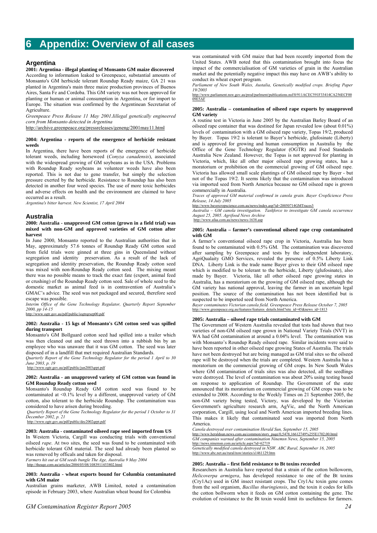# **6 Appendix: Overview of all cases**

# **Argentina**

**2001: Argentina - illegal planting of Monsanto GM maize discovered** According to information leaked to Greenpeace, substantial amounts of Monsanto's GM herbicide tolerant Roundup Ready maize, GA 21 was planted in Argentina's main three maize production provinces of Buenos Aires, Santa Fe and Cordoba. This GM variety was not been approved for planting or human or animal consumption in Argentina, or for import to Europe. The situation was confirmed by the Argentinean Secretariat of **Agriculture.** 

*Greenpeace Press Release 11 May 2001.Iillegal genetically engineered corn from Monsanto detected in Argentina* 

http://archive.greenpeace.org/pressreleases/geneng/2001may11.html

### **2004: Argentina - reports of the emergence of herbicide resistant weeds**

In Argentina, there have been reports of the emergence of herbicide tolerant weeds, including horseweed (*Conyza canadensis*), associated with the widespread growing of GM soybeans as in the USA. Problems with Roundup Ready soybeans as volunteer weeds have also been reported. This is not due to gene transfer, but simply the selection pressure exerted by the herbicide. Resistance to Roundup has also been detected in another four weed species. The use of more toxic herbicides and adverse effects on health and the environment are claimed to have occurred as a result.

*Argentina's bitter harvest. New Scientist, 17 April 2004* 

# **Australia**

### **2000: Australia - unapproved GM cotton (grown in a field trial) was mixed with non-GM and approved varieties of GM cotton after harvest**

In June 2000, Monsanto reported to the Australian authorities that in May, approximately 57.6 tonnes of Roundup Ready GM cotton seed from field trials were ginned at three gins in Queensland without segregation and identity preservation. As a result of the lack of segregation and identity preservation, the Roundup Ready cotton seed was mixed with non-Roundup Ready cotton seed. The mixing meant there was no possible means to track the exact fate (export, animal feed or crushing) of the Roundup Ready cotton seed. Sale of whole seed to the domestic market as animal feed is in contravention of Australia's GMAC's advice. The seed was not packaged and secured, therefore seed escape was possible.

*Interim Office of the Gene Technology Regulator, Quarterly Report September 2000, pp 14-15* 

w.ogtr.gov.au/pdf/public/iogtrqrsep00.pdf

# **2002: Australia - 15 kgs of Monsanto's GM cotton seed was spilled during transport**

Monsanto's GM Bollguard cotton seed had spilled into a trailer which was then cleaned out and the seed thrown into a rubbish bin by an employee who was unaware that it was GM cotton. The seed was later disposed of in a landfill that met required Australian Standards.

*Quarterly Report of the Gene Technology Regulator for the period 1 April to 30 June 2003, p. 19*  http://www.ogtr.gov.au/pdf/public/jun2003qrpt.pdf

# **2002: Australia - an unapproved variety of GM cotton was found in GM Roundup Ready cotton seed**

Monsanto's Roundup Ready GM cotton seed was found to be contaminated at <0.1% level by a different, unapproved variety of GM cotton, also tolerant to the herbicide Roundup. The contamination was considered to have arisen during breeding.

 *Quarterly Report of the Gene Technology Regulator for the period 1 October to 31 December 2002, p. 21* 

http://www.ogtr.gov.au/pdf/public/dec2002qrpt.pdf

# **2003: Australia - contaminated oilseed rape seed imported from US**

In Western Victoria, Cargill was conducting trials with conventional oilseed *rape*. At two sites, the seed was found to be contaminated with herbicide tolerant GM material. The seed had already been planted so was removed by officals and taken for disposal.

*Farmers hit out at GM seeds bungle The Age, Australia 9 May 2004* 

http://theage.com.au/articles/2004/05/08/1083911453802.html

### **2003: Australia - wheat exports bound for Columbia contaminated with GM maize**

Australian grains marketer, AWB Limited, noted a contamination episode in February 2003, where Australian wheat bound for Colombia

was contaminated with GM maize that had been recently imported from the United States. AWB noted that this contamination brought into focus the impact of the commercialisation of GM varieties of grain in the Australian market and the potentially negative impact this may have on AWB's ability to conduct its wheat export program.

*Parliament of New South Wales, Austalia, Genetically modified crops. Briefing Paper 19/2003* 

http://www.parliament.nsw.gov.au/prod/parlment/publications.nsf/0/911ACEC591F33414CA256ECF00 09E5AF

# **2005: Australia – contamination of oilseed rape exports by unapproved GM variety**

A routine test in Victoria in June 2005 by the Australian Barley Board of an oilseed rape container that was destined for Japan revealed low (about 0.01%) levels of contamination with a GM oilseed rape variety, Topas 19/2, produced by Bayer. Topas 19/2 is tolerant to Bayer's herbicide, glufosinate (Liberty) and is approved for growing and human consumption in Australia by the Office of the Gene Technology Regulator (OGTR) and Food Standards Australia New Zealand. However, the Topas is not approved for planting in Victoria, which, like all other major oilseed rape growing states, has a moratorium or prohibition on the commercial growing of GM oilseed rape. Victoria has allowed small scale plantings of GM oilseed rape by Bayer - but not of the Topas 19/2. It seems likely that the contamination was introduced via imported seed from North America because no GM oilseed rape is grown commercially in Australia.

*Traces of approved GM material confirmed in canola grain. Bayer CropScience Press Release, 14 July 2005* 

http://www.bayercropscience.com.au/news/index.asp?id=20050714GMTraces3

*Australia – GM canola investigation. Taskforce to investigate GM canola occurrence August 25, 2005. Agrifood News Archive*  .<br>news/news-1638.asp

# **2005: Australia – farmer's conventional oilseed rape crop contaminated with GM**

A farmer's conventional oilseed rape crop in Victoria, Australia has been found to be contaminated with 0.5% GM. The contamination was discovered after sampling by Greenpeace and tests by the independent laboratory, AgriQualaity GMO Services, revealed the presence of 0.5% Liberty Link DNA. Liberty Link is the trade name Bayer gives to their GM oilseed rape which is modified to be tolerant to the herbicide, Liberty (glufosinate), also made by Bayer. Victoria, like all other oilseed rape growing states in Australia, has a moratorium on the growing of GM oilseed rape, although the GM variety has national approval, leaving the farmer in an uncertain legal position. The source of the contamination has not been identified but is suspected to be imported seed from North America.

*Bayer contaminates Victorian canola field. Greenpeace Press Release October 7, 2005*  http://www.greenpeace.org.au/features/features\_details.html?site\_id=45&news\_id=1813

# **2005: Australia – oilseed rape trials contaminated with GM**

The Government of Western Australia revealed that tests had shown that two varieties of non-GM oilseed rape grown in National Variety Trials (NVT) in WA had GM contamination at around a 0.04% level. The contamination was with Monsanto's Roundup Ready oilseed rape. Similar incidents were said to have been reported in other oilseed rape growing States of Australia. The trials have not been destroyed but are being managed as GM trial sites so the oilseed rape will be destroyed when the trials are completed. Western Australia has a moratorium on the commercial growing of GM crops. In New South Wales where GM contamination of trials sites was also detected, all the seedlings were destroyed. The level of contamination was about 20% using testing based on response to application of Roundup. The Government of the state announced that its moratorium on commercial growing of GM crops was to be extended to 2008. According to the Weekly Times on 21 September 2005, the non-GM variety being tested, Victory, was developed by the Victorian Government's agriculture research arm, AgVic, and the North American corporation, Cargill, using local and North American imported breeding lines. This makes it likely that contaminated seed was imported from North America.

*Canola destroyed over contamination Herald Sun, September 15, 2005*  http://www.heraldsun.news.com.au/common/story\_page/0,5478,16612749%255E1702,00.html *GM companies warned after contamination Ninemsn News, September 15, 2005*  http://news.ninemsn.com.au/article.aspx?id=62719

*Genetically modified canola destroyed in NSW. ABC Rural, September 16, 2005*  http://www.abc.net.au/rural/nsw/stories/s1461129.htm

### **2005: Australia – first field resistance to Bt toxins recorded**

Researchers in Australia have reported that a strain of the cotton bolloworm, *Helicoverpa armigera*, has developed resistance to one of the Bt toxins (Cry1Ac) used in GM insect resistant crops. The Cry1Ac toxin gene comes from the soil organism, *Bacillus thuringiensis*, and the toxin it codes for kills the cotton bollworm when it feeds on GM cotton containing the gene. The evolution of resistance to the Bt toxin would limit its usefulness for farmers.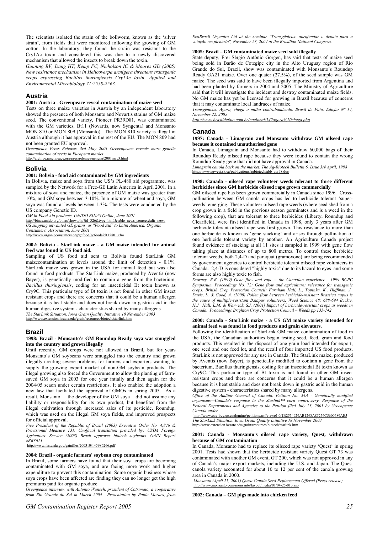The scientists isolated the strain of the bollworm, known as the 'silver strain', from fields that were monitored following the growing of GM cotton. In the laboratory, they found the strain was resistant to the Cry1Ac toxin and considered this was due to a newly discovered mechanism that allowed the insects to break down the toxin.

*Gunning RV, Dang HT, Kemp FC, Nicholson IC & Moores GD (2005) New resistance mechanism in Helicoverpa armigera threatens transgenic crops expressing Bacillus thuringiensis Cry1Ac toxin. Applied and Environmental Microbiology 71:2558-2563.* 

# **Austria**

# **2001: Austria - Greenpeace reveal contamination of maize seed**

Tests on three maize varieties in Austria by an independent laboratory showed the presence of both Monsanto and Novartis strains of GM maize seed. The conventional variety, Pioneer PR39D81, was contaminated with the GM varieties, Bt11 (Novartis, now Syngenta) and Monsanto MON 810 or MON 809 (Monsanto). The MON 810 variety is illegal in Austria although it has approval in the rest of the EU. The MON 809 had not been granted EU approval.

*Greenpeace Press Release: 3rd May 2001 Greeenpeace reveals more genetic contamination of seeds in European market*  http://archive.orgreenpeace.org/pressreleases/geneng/2001may3.html

# **Bolivia**

# **2001: Bolivia - food aid contaminated by GM ingredients**

In Bolivia, maize and soya from the US's PL-480 aid programme, was sampled by the Network for a Free-GE Latin America in April 2001. In a mixture of soya and maize, the presence of GM maize was greater than 10%, and GM soya between 3-10%. In a mixture of wheat and soya, GM soya was found at levels between 1-3%. The tests were conducted by the US company Genetic ID.

*GM in Food Aid products. UNIDO BINAS Online, June 2001* 

http://binas.unido.org/binas/show.php?id=326&type=html&table=news\_sources&dir=news *US shipping unwanted GE grains as "Food Aid" to Latin America. Organic Consumers' Association, June 2001* 

http://www.organicconsumers.org/gefood/gefoodaid112801.cfm

# **2002: Bolivia - StarLink maize - a GM maize intended for animal feed was found in US food aid.**

Sampling of US food aid sent to Bolivia found StarLin*k* GM maizecontamination at levels around the limit of detection - 0.1%. StarLink maize was grown in the USA for animal feed but was also found in food products. The StarLink maize, produced by Aventi*s* (now Bayer), is genetically modified to contain a gene from the bacterium, *Bacillus thuringiensis*, coding for an insecticidal Bt toxin known as Cry9C. This particular type of Bt toxin is not found in other GM insect resistant crops and there are concerns that it could be a human allergen because it is heat stable and does not break down in gastric acid in the human digestive system - characteristics shared by many allergens *The StarLink Situation. Iowa Grain Quality Initiative 18 November 2003*  http://www.extension.jastate.edu/grain/resources/biotech/starlink.htm

**Brazil** 

### **1998: Brazil - Monsanto's GM Roundup Ready soya was smuggled into the country and grown illegally**

Until recently, GM crops were not allowed in Brazil, but for years Monsanto's GM soybeans were smuggled into the country and grown illegally creating severe problems for farmers and exporters wanting to supply the growing export market of non-GM soybean products. The illegal growing also forced the Government to allow the planting of farmsaved GM soya in 2003 for one year intially and then again for the 2004/05 seaon under certain restrictions. It also enabled the adoption a new law that faciliated the approval of GMOs in spring 2005. As a result. Monsanto – the developer of the GM sova – did not assume any liability or responsibility for its own product, but benefited from the illegal cultivation through increased sales of its pesticide, Roundup, which was used on the illegal GM soya fields, and improved prospects for official approval.

*Vice President of the Republic of Brazil (2003) Executive Order No. 4,846 & Provisional Measure 131. Unoffical translation provided by: USDA Foreign Agriculture Service (2003) Brazil approves biotech soybeans. GAIN Report #BR3613* 

http://www.fas.usda.gov/gainfiles/200310/145986266.pdf

# **2004: Brazil - organic farmers' soybean crop contaminated**

In Brazil, some farmers have found that their soya crops are becoming contaminated with GM soya, and are facing more work and higher expenditure to prevent this contamination. Some organic business whose soya crops have been affected are finding they can no longer get the high premiums paid for organic produce.

*Greenpeace interview with Antonio Wünsch, president of Cotrimaio, a cooperative from Rio Grande do Sul in March 2004. Presentation by Paulo Moraes, from*  *EcoBrazil Organics Ltd at the seminar "Transgênicos: aprofundar o debate para a votação em plenário", November 23, 2004 at the Brasilian National Congress.* 

### **2005: Brazil – GM contaminated maize seed sold illegally**

State deputy, Frei Sérgio Antônio Görgen, has said that tests of maize seed being sold in Barão de Cotegipe city in the Alto Uruguay region of Rio Grande do Sul, Brazil, show was contaminated with Monsanto's Roundup Ready GA21 maize. Over one quater (27.5%), of the seed sample was GM maize. The seed was said to have been illegally imported from Argentina and had been planted by farmers in 2004 and 2005. The Ministry of Agriculture said that it will investigate the incident and destroy contaminated maize fields. No GM maize has yet be licensed for growing in Brazil because of concerns that it may contaminate local landraces of maize.

*Transgênicos. Agora, chega o milho contrabandeado. Brasil de Fato, Edição Nº 14, November 22, 2005* 

*http://www.brasildefato.com.br/nacional/142agora%20chega.php*

# **Canada**

### **1997: Canada - Limagrain and Monsanto withdraw GM oilseed rape because it contained unauthorised gene**

In Canada, Limagrain and Monsanto had to withdraw 60,000 bags of their Roundup Ready oilseed rape because they were found to contain the wrong Roundup Ready gene that did not have approval in Canada.

*Limagrain canola back on the market. The Ag-Biotech Bulletin 6, Issue 3/4 April, 1998*  /www.agwest.sk.ca/publications/agbiotech/abb\_apr98.doc

# **1998: Canada - oilseed rape volunteer weeds tolerant to three different herbicides since GM herbicide oilseed rape grown commercially**

GM oilseed rape has been grown commercially in Canada since 1996. Crosspollination between GM canola crops has led to herbicide tolerant 'superweeds' emerging. These volunteer oilseed rape weeds (where seed shed from a crop grown in a field in the previous season germinates and is a weed in the following crop), that are tolerant to three herbicides (Liberty, Roundup and Clearfield), were first identified in Canada in 1998, only 3 years after GM herbicide tolerant oilseed rape was first grown. This resistance to more than one herbicide is known as 'gene stacking' and arises through pollination of one herbicide tolerant variety by another. An Agriculture Canada project found evidence of stacking at all 11 sites it sampled in 1999 with gene flow taking place at distances of up to 800 metres. To control these herbicide tolerant weeds, both 2,4-D and paraquat (gramoxone) are being recommended by government agencies to control herbicide tolerant oilseed rape volunteers in Canada. 2,4-D is considered "highly toxic" due to its hazard to eyes and some forms are also highly toxic to fish.

*Downey, R.K. (1999) Gene flow and rape – the Canadian experience. 1999 BCPC Symposium Proceedings No. 72: Gene flow and agriculture: relevance for transgenic crops. British Crop Protection Council: Farnham Hall, L., Topinka, K., Huffman, J., Davis, L. & Good, A. (2000) Pollen flow between herbicide-resistant Brassica napus is the cause of multiple-resistant B.napus volunteers. Weed Science 48: 688-694 Beckie, H.J., Hall, L.M. & Warwick, S.I. (2001) Impact of herbicide-resistant crops as weeds in Canada. Proceedings Brighton Crop Protection Council – Weeds pp 135-142* 

### **2000: Canada - StarLink maize - a US GM maize variety intended for animal feed was found in food products and grain elevators.**

Following the identification of StarLink GM maize contamination of food in the USA, the Canadian authorities began testing seed, feed, grain and food products. This resulted in the disposal of one grain load intended for export, one seed and one feed lot, and the recall of four imported US food products. StarLink is not approved for any use in Canada. The StarLink maize, produced by Aventis (now Bayer), is genetically modified to contain a gene from the bacterium, Bacillus thuringiensis, coding for an insecticidal Bt toxin known as Cry9C. This particular type of Bt toxin is not found in other GM insect resistant crops and there are concerns that it could be a human allergen because it is heat stable and does not break down in gastric acid in the human digestive system - characteristics shared by many allergens.

*Office of the Auditor General of Canada. Petition No. 34A - Genetically modified organisms—Canada's response to the Starlink™ corn controversy. Response of the Federal Departments and Agencies to the Petition filed July 23, 2001 by Greenpeace Canada under* 

http://www.oag-bvg.gc.ca/domino/petitions.nsf/viewe1.0/1B2554929AB1268A85256C5600689AE5 *The StarLink Situation. Iowa Grain Quality Initiative 18 November 2003*  http://www.extension.iastate.edu/grain/resources/biotech/starlink.htm

#### **2001: Canada - Monsanto's oilseed rape variety, Quest, withdrawn because of GM contamination**

In Canada, Monsanto had to replace its oilseed rape variety 'Quest' in spring 2001. Tests had shown that the herbicide resistant variety Quest GT 73 was contaminated with another GM event, GT 200, which was not approved in any of Canada's major export markets, including the U.S. and Japan. The Quest canola variety accounted for about 10 to 12 per cent of the canola growing area in Canada in 2000.

*Monsanto (April 25, 2001) Quest Canola Seed Replacement Offered (Press release).*  m/monsanto/layout/media/01/04-25-01b asp

**2002: Canada – GM pigs made into chicken feed**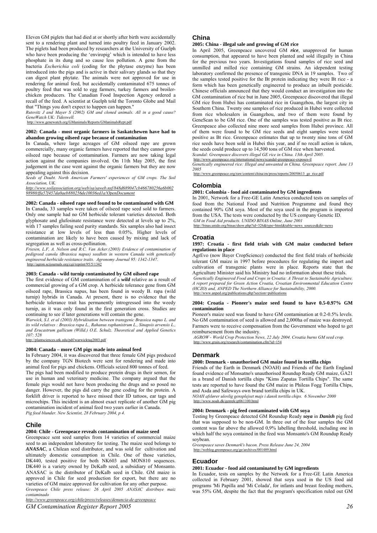Eleven GM piglets that had died at or shortly after birth were accidentally sent to a rendering plant and turned into poultry feed in January 2002. The piglets had been produced by researchers at the University of Guelph who have been producing the 'enviropig' which is intended to have less phosphate in its dung and so cause less pollution. A gene from the bacteria *Escherichia coli* (coding for the phytase enzyme) has been introduced into the pigs and is active in their salivary glands so that they can digest plant phytate. The animals were not approved for use in rendering for animal feed, but accidentally contaminated 675 tonnes of poultry feed that was sold to egg farmers, turkey farmers and broilerchicken producers. The Canadian Food Inspection Agency ordered a recall of the feed. A scientist at Guelph told the Toronto Globe and Mail that "Things you don't expect to happen can happen."

*Rutovitz J and Mayer S (2002) GM and cloned animals. All in a good cause? GeneWatch UK: Tideswell.*

http://www.genewatch.org/GManimals/Reports/GManimalsRept.pdf

# **2002: Canada - most organic farmers in Saskatchewen have had to abandon growing oilseed rape because of contamination**

In Canada, where large acreages of GM oilseed rape are grown commercially, many organic farmers have reported that they cannot grow oilseed rape because of contamination. Farmers are now taking legal action against the companies involved. On 11th May 2005, the first judgement in the case went against the organic farmers but they are now appealing against this decision.

*Seeds of Doubt. North American Farmers' experiences of GM crops. The Soil Association, UK.* 

*http://www.soilassociation.org/web/sa/saweb.nsf/848d689047cb466780256a6b002 98980/ffa57f457da0aeb880256de10036ed1a!OpenDocument*

**2002: Canada - oilseed rape seed found to be contaminated with GM**  In Canada, 33 samples were taken of oilseed rape seed sold to farmers. Only one sample had no GM herbicide tolerant varieties detected. Both glyphosate and glufosinate resistance were detected at levels up to 2%, with 17 samples failing seed purity standards. Six samples also had insect resistance at low levels of less than 0.05%. Higher levels of contamination are likely to have been caused by mixing and lack of segregation as well as cross-pollination.

*Friesen, L.F, A. Nelson and R.C. Van Acker.(2003) Evidence of contamination of pedigreed canola (Brassica napus) seedlots in western Canada with genetically engineered herbicide resistance traits. Agronomy Journal 95: 1342-1347.*  http://agron.scijournals.org/cgi/reprint/95/5/1342

# **2003: Canada - wild turnip contaminated by GM oilseed rape**

The first evidence of GM contamination of a *wild* relative as a result of commercial growing of a GM crop. A herbicide tolerance gene from GM oilseed rape, Brassica napus, has been found in weedy B. rapa (wild turnip) hybrids in Canada. At present, there is no evidence that the herbicide tolerance trait has permanently introgressed into the weedy turnip, as it was only found in the first generation cross. Studies are continuing to see if later generations will contain the gene.

*Warwick, S.I. et al (2003) Hybridisation between transgenic Brassica napus L. and its wild relatives : Brassica rapa L., Rahanus raphanistrum L., Sinapsis arvensis L., and Erucastrum gallicum (Willd.) O.E. Schulz. Theoretical and Applied Genetics 107: 528* 

http://plantsciences.utk.edu/pdf/warwicktag2003.pdf

# **2004: Canada – more GM pigs made into animal feed**

In February 2004, it was discovered that three female GM pigs produced by the company TGN Biotech were sent for rendering and made into animal feed for pigs and chickens. Officials seized 800 tonnes of feed.

The pigs had been modified to produce protein drugs in their semen, for use in human and veterinary medicine. The company argued that the female pigs would not have been producing the drugs and so posed no danger. However, the pigs did carry the gene coding for the protein. A forklift driver is reported to have missed their ID tattoos, ear tags and microchips. This incident is an almost exact replicate of another GM pig contamination incident of animal feed two years earlier in Canada. *Pig feed blunder. New Scientist, 28 February 2004, p 4.* 

# **Chile**

# **2004: Chile - Greenpeace reveals contamination of maize seed**

Greenpeace sent seed samples from 14 varieties of commercial maize seed to an independent laboratory for testing. The maize seed belongs to *ANASAC*, a Chilean seed distributor, and was sold for cultivation and ultimately domestic consumption in Chile. One of those varieties, DK440, tested positive for both NK603 and MON810 sequences. DK440 is a variety owned by DeKalb seed, a subsidiary of Monsanto. ANASAC is the distributor of DeKalb seed in Chile. GM maize is approved in Chile for seed production for export, but there are no varieties of GM maize approved for cultivation for any other purpose. *Greenpeace Chile press release: 26 April 2005 ANASAC distribuye maiz contaminado* 

# **China**

**2005: China - illegal sale and growing of GM rice** 

In April 2005, Greenpeace uncovered GM *rice*, unapproved for human consumption, that appeared to have been planted and sold illegally in China for the previous two years. Investigations found samples of rice seed and unmilled and milled rice containing GM strains. An idependent testing laboratory confirmed the presence of transgenic DNA in 19 samples. Two of the samples tested positive for the Bt protein indicating they were Bt rice - a form which has been genetically engineered to produce an inbuilt pesticide. Chinese officials announced that they would conduct an investigation into the GM contamination of rice but in June 2005, Greenpeace discovered that illegal GM rice from Hubei has contaminated rice in Guangzhou, the largest city in Southern China. Twenty one samples of rice produced in Hubei were collected from rice wholesalers in Guangzhou, and two of them were found by GeneScan to be GM rice. One of the samples was tested positive as Bt rice. Greenpeace also collected nine more seed samples from Hubei province. All of them were found to be GM rice seeds and eight samples were tested positive as Bt rice. Greenpeace estimates that up to twenty nine tons of GM rice seeds have been sold in Hubei this year, and if no recall action is taken, the seeds could produce up to 14,500 tons of GM rice when harvested. *Scandal: Greenpeace discovers illegal GE rice in China. 13th April 2005.* 

http://www.greenpeace.org/international/news/scandal-greenpeace-exposes-il

*Genetically engineered rice: Illegal and unwanted in China. Greenpeace report. June 13 2005* 

http://www.green.org/raw/content/china/en/press/reports/20050613\_ge\_rice.pdf

# **Colombia**

# **2001: Colombia - food aid contaminated by GM ingredients**

In 2001, Network for a Free-GE Latin America conducted tests on samples of food from the National Food and Nutrition Programme and found they contained 90% GM soya. Most of the soya used in the program is imported from the USA. The tests were conducted by the US company Genetic ID. *GM in Food Aid products. UNIDO BINAS Online, June 2001* 

http://binas.unido.org/binas/show.php?id=326&type=html&table=news\_sources&dir=news

# **Croatia**

### **1997: Croatia - first field trials with GM maize conducted before regulations in place**

AgrEvo (now Bayer CropScience) conducted the first field trials of herbicide tolerant GM maize in 1997 before procedures for regulating the import and cultivation of transgenic plants were in place. Reports state that the Agriculture Minister said his Ministry had no information about these trials.

*Genetically Engineered Food and Crops in Croatia: A Threat to Sustainable Agriculture. A report prepared for Green Action Croatia, Croatian Environmental Education Centre (HCZO) and, ANPED The Northern Alliance for Sustainability, 2000.*  s.php?secti

#### **2004: Croatia - Pioneer's maize seed found to have 0.5-0.97% GM contamination**

Pioneer's maize seed was found to have GM contamination at 0.2-0.5% levels. No GM contamination of seed is allowed and 2,000ha of maize was destroyed. Farmers were to receive compensation from the Government who hoped to get reimbursement from the industry.

*AGROW - World Crop Protection News, 22 July 2004. Croatia burns GM seed crop.*  http://www.grain.org/research/contamination.cfm?id=154

# **Denmark**

### **2000: Denmark - unauthorised GM maize found in tortilla chips**

Friends of the Earth in Denmark (NOAH) and Friends of the Earth England found evidence of Monsatno's unauthorised Roundup Ready GM maize, GA21 in a brand of Danish tortilla chips "Kims Zapatas Tortilla Chips". The same tests are reported to have found the GM maize in Phileas Fogg Tortilla Chips, and Asda and Safeways own brand tortilla chips in UK.

*NOAH afslører ulovlig gensplejset majs i dansk tortilla chips. 6 November 2000*  http://www.noah.dk/gentek/gt061100.html

# **2004: Denmark - pig feed contaminated with GM soya**

Testing by Greenpeace detected GM Roundup Ready *soya* in *Danish* pig feed that was supposed to be non-GM. In three out of the four samples the GM content was far above the allowed 0,9% labelling threshold, including one in which half the soya contained in the feed was Monsanto's GM Roundup Ready soybean.

*Greenpeace saves Denmark's bacon. Press Release June 24, 2004*  http://weblog.greenpeace.org/ge/archives/001489.html

# **Ecuador**

# **2001: Ecuador - food aid contaminated by GM ingredients**

In Ecuador, tests on samples by the Network for a Free-GE Latin America collected in February 2001, showed that soya used in the US food aid programs 'Mi Papilla and 'Mi Colada', for infants and breast feeding mothers, was 55% GM, despite the fact that the program's specification ruled out GM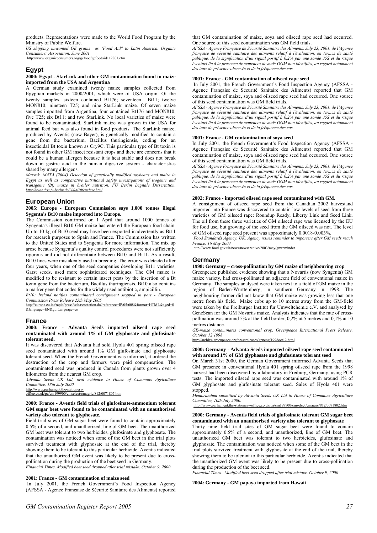products. Representations were made to the World Food Program by the Ministry of Public Welfare.

*US shipping unwanted GE grains as "Food Aid" to Latin America. Organic Consumers' Association, June 2001*  http://www.organicconsumers.org/gefood/gefoodaid112801.cfm

# **Egypt**

#### **2000: Egypt - StarLink and other GM contamination found in maize imported from the USA and Argentina**

A German study examined twenty maize samples collected from Egyptian markets in 2000/2001, which were of USA origin. Of the twenty samples, sixteen contained Bt176; seventeen Bt11; twelve MON810; nineteen T25; and nine StarLink maize. Of seven maize samples imported from Argentina, four contained Bt176 and MON810; five T25; six Bt11; and two StarLink. No local varieties of maize were found to be contaminated. StarLink maize was grown in the USA for animal feed but was also found in food products. The StarLink maize, produced by Aventis (now Bayer), is genetically modified to contain a gene from the bacterium, Bacillus thuringiensis, coding for an insecticidal Bt toxin known as Cry9C. This particular type of Bt toxin is not found in other GM insect resistant crops and there are concerns that it could be a human allergen because it is heat stable and does not break down in gastric acid in the human digestive system - characteristics shared by many allergens.

*Marvok, MATA (2004) Detection of genetically modified soybeans and maize in Egypt as well as comparative nutritional safety investigations of isogenic and transgenic (Bt) maize in broiler nutrition. FU Berlin Digitale Dissertation. http://www.diss.fu-berlin.de/2004/106/indexe.html*

# **European Union**

# **2005: Europe - European Commission says 1,000 tonnes illegal Sygenta's Bt10 maize imported into Europe.**

The Commission confirmed on 1 April that around 1000 tonnes of Syngenta's illegal Bt10 GM maize has entered the European food chain. Up to 10 kg of Bt10 seed may have been exported inadvertently as Bt11 for research purposes to Spain and France. The Commission has written to the United States and to Syngenta for more information. The mix up arose because Syngenta's quality control procedures were not sufficiently rigorous and did not differentiate between Bt10 and Bt11. As a result, Bt10 lines were mistakenly used in breeding. The error was detected after four years, when one of the seed companies developing Bt11 varieties, Garst seeds, used more sophisticated techniques. The GM maize is modified to be resistant to certain insect pests by the insertion of a Bt toxin gene from the bacterium, Bacillus thuringiensis. Bt10 also contains a marker gene that codes for the widely used antibiotic, ampicillin.

*Bt10: Ireland notifies contaminated consignment stopped in port - European Commission Press Release 25th May 2005* 

http://europa.eu.int/rapid/pressReleasesAction.do?reference=IP/05/608&format=HTML&aged=0 &language=EN&guiLanguage=en

# **France**

# **2000: France - Advanta Seeds imported oilseed rape seed contaminated with around 1% of GM glyphosate and glufosinate tolerant seed.**

It was discovered that Advanta had sold Hyola 401 spring oilseed rape seed contaminated with around 1% GM glufosinate and glyphosate tolerant seed. When the French Government was informed, it ordered the destruction of the crop and farmers were paid compensation. The contaminated seed was produced in Canada from plants grown over 4 kilometres from the nearest GM crop.

*Advanta Seeds UK Ltd, oral evidence to House of Commons Agriculture Committee, 18th July 2000.* 

http://www.parliament.the-stationeryoffice.co.uk/pa/cm199900/cmselect/cmagric/812/0071805.htm

**2000: France - Aventis field trials of glufosinate-ammonium tolerant** 

# **GM sugar beet were found to be contaminated with an unauthorised variety also tolerant to glyphosate.**

Field trial sites of GM sugar beet were found to contain approximately 0.5% of a second, and unauthorized, line of GM beet. The unauthorized GM beet was tolerant to two herbicides, glufosinate and glyphosate. The contamination was noticed when some of the GM beet in the trial plots survived treatment with glyphosate at the end of the trial, thereby showing them to be tolerant to this particular herbicide. Aventis indicated that the unauthorized GM event was likely to be present due to crosspollination during the production of the beet seed in Germany.

*Financial Times. Modified beet seed dropped after trial mistake. October 9, 2000* 

# **2001: France - GM contamination of maize seed**

In July 2001, the French Government's Food Inspection Agency (AFSSA - Agence Française de Sécurité Sanitaire des Aliments) reported *AFSSA - Agence Française de Sécurité Sanitaire des Aliments. July 23, 2001. de l'Agence française de sécurité sanitaire des aliments relatif à l'évaluation, en termes de santé publique, de la signification d'un signal positif à 0,2% par une sonde 35S et du risque éventuel lié à la présence de semences de maïs OGM non identifiés, au regard notamment des taux de présence observés et de la fréquence des cas.* 

# **2001: France - GM contamination of oilseed rape seed**

In July 2001, the French Government's Food Inspection Agency (AFSSA - Agence Française de Sécurité Sanitaire des Aliments) reported that GM contamination of maize, soya and oilseed rape seed had occurred. One source of this seed contamination was GM field trials.

*AFSSA - Agence Française de Sécurité Sanitaire des Aliments. July 23, 2001. de l'Agence française de sécurité sanitaire des aliments relatif à l'évaluation, en termes de santé publique, de la signification d'un signal positif à 0,2% par une sonde 35S et du risque éventuel lié à la présence de semences de maïs OGM non identifiés, au regard notamment des taux de présence observés et de la fréquence des cas.* 

# **2001: France - GM contamination of soya seed**

In July 2001, the French Government's Food Inspection Agency (AFSSA - Agence Française de Sécurité Sanitaire des Aliments) reported that GM contamination of maize, soya and oilseed rape seed had occurred. One source of this seed contamination was GM field trials.

*AFSSA - Agence Française de Sécurité Sanitaire des Aliments. July 23, 2001. de l'Agence française de sécurité sanitaire des aliments relatif à l'évaluation, en termes de santé publique, de la signification d'un signal positif à 0,2% par une sonde 35S et du risque*  $p$ *éventuel lié à la présence de semences de maïs OGM non identifiés, au regard notamment des taux de présence observés et de la fréquence des cas.* 

# **2002: France - imported oilseed rape seed contaminated with GM.**

A consignment of oilseed rape seed from the Canadian 2002 harvestand imported into France was discovered to contain low levels of seed from three varieties of GM oilseed rape: Roundup Ready, Liberty Link and Seed Link. The oil from these three varieties of GM oilseed rape was licensed by the EU for food use, but growing of the seed from the GM oilseed was not. The level of GM oilseed rape seed present was approximately 0.0018-0.003%.

*Food Standards Agency, UK. Agency issues reminder to importers after GM seeds reach France. 16 May 2003* 

http://www.food.gov.uk/news/newsarchive/2003/may

# **Germany**

# **1998: Germany – cross-pollination by GM maize of neighbouring crop**

Greenpeace published evidence showing that a Novartis (now Syngenta) GM maize variety, had cross-pollinated an adjacent field of conventional maize in Germany. The samples analysed were taken next to a field of GM maize in the region of Baden-Württemberg, in southern Germany in 1998. The neighbouring farmer did not know that GM maize was growing less that one metre from his field. Maize cobs up to 10 metres away from the GM-field were taken by the Freiburger Institut für Umweltchemie e.V. and analysed by GeneScan for the GM Novartis maize. Analysis indicates that the rate of crosspollination was around 5% at the field border, 0,2% at 5 metres and 0,1% at 10 metres distance.

*GE-maize contaminates conventional crop. Greenpeace International Press Release, October 12 1998* 

http://archive.greenpeace.org/pressreleases/geneng/1998oct12.html

# **2000: Germany - Advanta Seeds imported oilseed rape seed contaminated with around 1% of GM glyphosate and glufosinate tolerant seed**

On March 31st 2000, the German Government informed Advanta Seeds that GM presence in conventional Hyola 401 spring oilseed rape from the 1998 harvest had been discovered by a laboratory in Freiburg, Germany, using PCR tests. The imported oilseed rape seed was contaminated with around 1% of GM glyphosate and glufosinate tolerant seed. Sales of Hyola 401 were stopped.

*Memorandum submitted by Advanta Seeds UK Ltd to House of Commons Agriculture Committee, 10th July 2000.* 

http://www.parliament.the-stationery-office.co.uk/pa/cm199900/cmselect/cmagric/812/0071802.htm

# **2000: Germany - Aventis field trials of glufosinate tolerant GM sugar beet contaminated with an unauthorised variety also tolerant to glyphosate**

Thirty nine field trial sites of GM sugar beet were found to contain approximately 0.5% of a second, and unauthorized, line of GM beet. The unauthorized GM beet was tolerant to two herbicides, glufosinate and glyphosate. The contamination was noticed when some of the GM beet in the trial plots survived treatment with glyphosate at the end of the trial, thereby showing them to be tolerant to this particular herbicide. Aventis indicated that the unauthorized GM event was likely to be present due to cross-pollination during the production of the beet seed.

*Financial Times. Modified beet seed dropped after trial mistake. October 9, 2000* 

# **2004: Germany - GM papaya imported from Hawaii**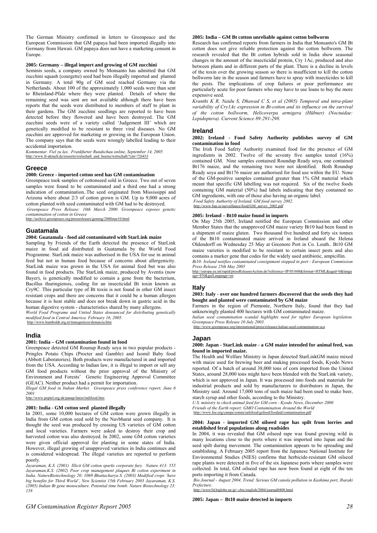The German Ministry confirmed in letters to Greenpeace and the European Commission that GM papaya had been imported illegally into Germany from Hawaii. GM papaya does not have a marketing consent in Europe.

# **2005: Germany – illegal import and growing of GM zucchini**

Seminis seeds, a company owned by Monsanto has admitted that GM zucchini squash (courgette) seed had been illegally imported and planted in Germany. A total 90g of GM seed reached Germany via the Netherlands. About 100 of the approximately 1,000 seeds were than sent to Rheinland-Pfalz where they were planted. Details of where the remaining seed was sent are not available although there have been reports that the seeds were distributed to members of staff to plant in their gardens. The GM zucchini seedlings are reported to have been detected before they flowered and have been destroyed. The GM zucchini seeds were of a variety called 'Judgement III' which are genetically modified to be resistant to three viral diseases. No GM zucchini are approved for marketing or growing in the European Union. The company says that the seeds were wrongly labelled leading to their accidental importation.

*Kommentar. Viel zu lax. Frankfurter Rundschau online, September 14, 2005*  http://www.fr-aktuell.de/ressorts/wirtschaft\_und\_boerse/wirtschaft/?cnt=726433

# **Greece**

# **2000: Greece - imported cotton seed has GM contamination**

Greenpeace took samples of cottonseed sold in Greece. Two out of seven samples were found to be contaminated and a third one had a strong indication of contamination..The seed originated from Mississippi and Arizona where about 2/3 of cotton grown is GM. Up to 9,000 acres of cotton planted with seed contaminated with GM had to be destroyed. *Greenpeace Press Release: 10th March 2000. Greenpeace exposes genetic* 

*contamination of cotton in Greece*  http://archive.greenpeace.org/pressreleases/geneng/2000mar10.html

# **Guatamala**

# **2004: Guatamala - food aid contaminated with StarLink maize**

Sampling by Friends of the Earth detected the presence of StarLink maize in food aid distributed in Guatamala by the World Food Programme. StarLink maize was authorised in the USA for use in animal feed but not in human food because of concerns about allergenicity. StarLink maize was grown in the USA for animal feed but was also found in food products. The StarLink maize, produced by Aventis (now Bayer), is genetically modified to contain a gene from the bacterium, Bacillus thuringiensis, coding for an insecticidal Bt toxin known as Cry9C. This particular type of Bt toxin is not found in other GM insect resistant crops and there are concerns that it could be a human allergen because it is heat stable and does not break down in gastric acid in the human digestive system - characteristics shared by many allergens.

*World Food Programe and United States denounced for distributing genetically modified food in Central America. February 16, 2005.*  http://www.humboldt.org.ni/transgenicos/denuncia.htm

# **India**

### **2001: India – GM contamination found in food**

Greenpeace detected GM Rounup Ready soya in two popular products - Pringles Potato Chips (Procter and Gamble) and Isomil Baby food (Abbott Laboratories). Both products were manufactured in and imported from the USA. According to Indian law, it is illegal to import or sell any GM food products without the prior approval of the Ministry of Environment and Forests' Genetic Engineering Approval Committee (GEAC). Neither product had a permit for importation.

*Illegal GM food in Indian Market. Greenpeace press conference report, June 6* 

*2001*  http://www.poptel.org.uk/panap/latest/indifood.htm

### **2001: India - GM cotton seed planted illegally**

In 2001, some 10,000 hectares of GM cotton were grown illegally in India from GM cotton seed sold by the Navbharat seed company. It is thought the seed was produced by crossing US varieties of GM cotton and local varieties. Farmers were asked to destroy their crop and harvested cotton was also destroyed. In 2002, some GM cotton varieties were given official approval for planting in some states of India. However, illegal growing of unapproved varieties in India continues and is considered widespread. The illegal varieties are reported to perform poorly.

*Jayaraman, K.S. (2001) Illicit GM cotton sparks corporate fury. Nature 413: 555 Jayaraman,K.S. (2002) Poor crop management plaques Bt cotton experiment in India. NatureBiotechnology 20: 1069 Bhattacharya S. (2003) Modified crops 'have big benefits for Third World', New Scientist 15th February 2003 Jayaraman, K.S. (2005) Indian Bt gene monoculture. Potential time bomb. Nature Biotechnology 23: 158* 

# **2005: India – GM Bt cotton unreliable against cotton bollworm**

Research has confirmed reports from farmers in India that Monsanto's GM Bt cotton does not give reliable protection against the cotton bollworm. The research revealed that the Bt cotton hybrids sold in India show seasonal changes in the amount of the insecticidal protein, Cry 1Ac, produced and also between plants and in different parts of the plant. There is a decline in levels of the toxin over the growing season so there is insufficient to kill the cotton bollworm late in the season and farmers have to spray with insecticides to kill the pests. The implications of crop failures or poor performance are particularly acute for poor farmers who may have to use loans to buy the more expensive seed.

*Kranthi K R, Naidu S, Dhawad C S, et al (2005) Temporal and intra-plant variability of Cry1Ac expression in Bt-cotton and its influence on the survival of the cotton bollworm, Helicoverpa armigera (Hübner) (Noctuidae: Lepidoptera). Current Science 89:291-298.* 

#### **Ireland**

#### **2002: Ireland - Food Safety Authority publishes survey of GM contamination in food**

The Irish Food Safety Authority examined food for the presence of GM ingredients in 2002. Twelve of the seventy five samples tested (16%) contained GM. Nine samples contained Roundup Ready soya, one contained Bt176 maize, and the remaining two were not identified. Both Roundup Ready soya and Bt176 maize are authorised for food use within the EU. None of the GM-positive samples contained greater than 1% GM material which meant that specific GM labelling was not required. Six of the twelve foods containing GM material (50%) had labels indicating that they contained no GM ingredients, with one of those also having an organic label.

*Food Safety Authority of Ireland. GM food survey 2002.*  nce/food/GM\_survey\_2002.pdf

# **2005: Ireland – Bt10 maize found in imports**

On May 25th 2005, Ireland notified the European Commission and other Member States that the unapproved GM maize variety Bt10 had been found in a shipment of maize gluten. Two thousand five hundred and forty six tonnes of the Bt10 contaminated maize arrived in Ireland aboard the Helena Oldendorff on Wednesday 25 May at Greenore Port in Co. Louth.. Bt10 GM maize varieties is modified to be resistant to certain insect pests and also contains a marker gene that codes for the widely used antibiotic, ampicillin.

*Bt10: Ireland notifies contaminated consignment stopped in port - European Commission Press Release 25th May 2005* 

http://europa.eu.int/rapid/pressReleasesAction.do?reference=IP/05/608&format=HTML&aged=0&langu age=EN&guiLanguage=en

# **Italy**

# **2003: Italy - over one hundred farmers discovered that the seeds they had bought and planted were contaminated by GM maize**

Farmers in the region of Piemonte, Northern Italy, found that they had unknowingly planted 400 hectares with GM contaminated maize.

*Italian seed contamination scandal highlights need for tighter European legislation. Greenpeace Press Release 10 July 2003.* 

http://www.greenpeace.org/international/press/releases/italian-seed-contamination-sca

# **Japan**

# **2000: Japan - StarLink maize - a GM maize intended for animal feed, was found in imported maize.**

The Health and Welfare Ministry in Japan detected StarLinkGM maize mixed with maize used for brewing beer and making processed foods, Kyodo News reported. Of a batch of around 38,000 tons of corn imported from the United States, around 28,000 tons might have been blended with the StarLink variety, which is not approved in Japan. It was processed into foods and materials for industrial products and sold by manufacturers to distributors in Japan, the Ministry said. Around 17,000 tons of such maize had been used to make beer, starch syrup and other foods, according to the Ministry.

*U.S. ministry to check animal feed for GM corn - Kyodo News, December 2000 Friends of the Earth report: GMO Contamination Around the World* /www.foe.org/camps/comm/safefood/gefood/foodaid/contamination.pdf

#### **2004: Japan - imported GM oilseed rape has spilt from lorries and established feral populations along roadsides**

In 2004, it was revealed that GM oilseed rape was found growing wild in many locations close to the ports where it was imported into Japan and the seed spilt during movement. The contamination appears to be spreading and establishing. A February 2005 report from the Japanese National Institute for Environmental Studies (NIES) confirms that herbicide-resistant GM oilseed rape plants were detected in five of the six Japanese ports where samples were collected. In total, GM oilseed rape has now been found at eight of the ten ports importing it from Canada.

*Bio Journal - August 2004, Trend: Serious GM canola pollution in Kashima port, Ibaraki Prefecture.* 

~cbic/english/2004/journal0408.html

# **2005: Japan – Bt10 maize detected in imports**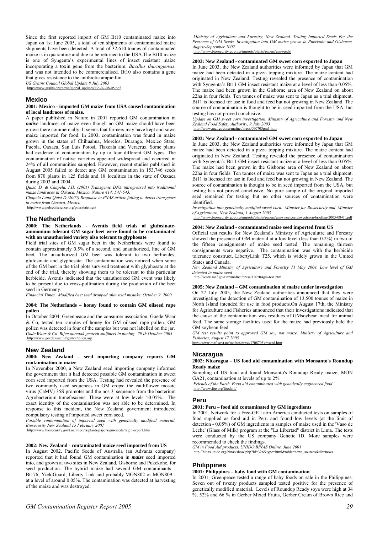Since the first reported import of GM Bt10 contaminated maize into Japan on 1st June 2005, a total of ten shipments of contaminated maize shipments have been detected. A total of 32,610 tonnes of contaminated maize is in quarantine and due to be returned to the USA.The Bt10 maize is one of Syngenta's experimental lines of insect resistant maize incorporating a toxin gene from the bacterium, *Bacillus thuringiensis*, and was not intended to be commercialised. Bt10 also contains a gene that gives resistance to the antibiotic ampicillin.

*US Grains Council Global Update 8 July 2005* 

http://www.grains.org/news/global\_updates/glo-07-08-05.pdf

#### **Mexico**

#### **2001: Mexico - imported GM maize from USA caused contamination of local landraces of maize.**

A paper published in Nature in 2001 reported GM contamination in *native* landraces of maize even though no GM maize should have been grown there commercially. It seems that farmers may have kept and sown maize imported for food. In 2003, contamination was found in maize grown in the states of Chihuahua, Morelos, Durango, Mexico State, Puebla, Oaxaca, San Luis Potosí, Tlaxcala and Veracruz. Some plants had evidence of contamination by up to four different GM types. The contamination of native varieties appeared widespread and occurred in 24% of all communities sampled. However, recent studies published in August 2005 failed to detect any GM contamination in 153,746 seeds from 870 plants in 125 fields and 18 localities in the state of Oaxaca during 2003 and 2004.

*Quist, D, & Chapela, I.H. (2001) Transgenic DNA introgressed into traditional maize landraces in Oaxaca, Mexico. Nature 414: 541-543.* 

*Chapela I and Quist D (2005) Response to PNAS article failing to detect transgenes in maize from Oaxaca, Mexico* 

http://www.pulseofscience.org/pnas

# **The Netherlands**

**2000: The Netherlands - Aventis field trials of glufosinateammonium tolerant GM sugar beet were found to be contaminated with an unauthorised variety also tolerant to glyphosate** 

Field trial sites of GM sugar beet in the Netherlands were found to contain approximately 0.5% of a second, and unauthorized, line of GM beet. The unauthorized GM beet was tolerant to two herbicides. glufosinate and glyphosate. The contamination was noticed when some of the GM beet in the trial plots survived treatment with glyphosate at the end of the trial, thereby showing them to be tolerant to this particular herbicide. Aventis indicated that the unauthorized GM event was likely to be present due to cross-pollination during the production of the beet seed in Germany.

*Financial Times. Modified beet seed dropped after trial mistake. October 9, 2000* 

### **2004: The Netherlands – honey found to contain GM oilseed rape pollen**

In October 2004, Greenpeace and the consumer association, Goede Waar & Co, tested ten samples of honey for GM oilseed rape pollen. GM pollen was detected in four of the samples but was not labelled on the jar. *Gode Waar & Co. Bijen oorzaak gentech stuifmeel in honing. 29 th October 2004*  http://www.goedewaar.nl/gentechbijen.asp

# **New Zealand**

### **2000: New Zealand – seed importing company reports GM contamination in maize**

In November 2000, a New Zealand seed importing company informed the government that it had detected possible GM contamination in sweet corn seed imported from the USA. Testing had revealed the presence of two commonly used sequences in GM crops: the cauliflower mosaic virus (CaMV) 35S promoter and the nos 3' sequence from the bacterium Agrobacterium tumefasciens. These were at low levels >0.05%. The exact identity of the contamination was not able to be determined. In response to this incident, the New Zealand government introduced compulsory testing of imported sweet corn seed.

*Possible contamination of imported seed with genetically modified material. Biosecurity New Zealand,15 February 2001* 

http://www.biority.govt.nz/imports/plants

## **2002: New Zealand - contaminated maize seed imported from US**

In August 2002, Pacific Seeds of Australia (an Advanta company) reported that it had found GM contamination in *maize* seed imported into, and grown at two sites in New Zealand, Gisborne and Pukekohe, for seed production. The hybrid maize had several GM contaminants Bt176; YieldGuard; Liberty Link and probably MON802 or MON809 at a level of around 0.05%. The contamination was detected at harvesting of the maize and was destroyed.

*Ministry of Agriculture and Forestry, New Zealand. Testing Imported Seeds For the Presence of GM Seeds. Investigation into GM maize grown in Pukekohe and Gisborne, August-September 2002* 

http://www.biosecurity.govt.nz/imports/plants/papers/gm-seeds/

## **2003: New Zealand - contaminated GM sweet corn exported to Japan**

In June 2003, the New Zealand authorities were informed by Japan that GM maize had been detected in a pizza topping mixture. The maize content had originated in New Zealand. Testing revealed the presence of contamination with Syngenta's Bt11 GM insect resistant maize at a level of less than 0.05%. The maize had been grown in the Gisborne area of New Zealand on about 22ha in four fields. Ten tonnes of maize was sent to Japan as a trial shipment. Bt11 is licensed for use in food and feed but not growing in New Zealand. The source of contamination is thought to be in seed imported from the USA, but testing has not proved conclusive.

*Update on GM sweet corn investigation. Ministry of Agriculture and Forestry and New Zealand Food Safety Authority, 9 July 2003*  http://www.maf.govt.nz/mafnet/pr

### **2003: New Zealand - contaminated GM sweet corn exported to Japan**

In June 2003, the New Zealand authorities were informed by Japan that GM maize had been detected in a pizza topping mixture. The maize content had originated in New Zealand. Testing revealed the presence of contamination with Syngenta's Bt11 GM insect resistant maize at a level of less than 0.05%. The maize had been grown in the Gisborne area of New Zealand on about 22ha in four fields. Ten tonnes of maize was sent to Japan as a trial shipment. Bt11 is licensed for use in food and feed but not growing in New Zealand. The source of contamination is thought to be in seed imported from the USA, but testing has not proved conclusive. No pure sample of the original imported seed remained for testing but no other sources of contamination were identified.

*Investigation into genetically modified sweet corn. Minister for Biosecurity and Minister of Agriculture, New Zealand, 1 August 2003* 

http://www.biosecurity.govt.nz/imports/plants/papers/gm-sweetcorn/sweetcorn-briefing-2003-08-01.pdf

#### **2004: New Zealand - contaminated maize seed imported from US**

Official test results for New Zealand's Ministry of Agriculutre and Forestry showed the presence of GM material at a low level (less than 0.2%) in two of the fifteen consignments of maize seed tested. The remaining thirteen consignments were negative. The contamination was with the herbicide tolerance construct, LibertyLink T25, which is widely grown in the United States and Canada.

*New Zealand Ministry of Agriculture and Forestry 11 May 2004. Low level of GM detected in maize seed* 

http://www.maf.govt.nz/mafnet/press/120504gm-test.htm

# **2005: New Zealand – GM contamination of maize under investigation**

On 27 July 2005, the New Zealand authorities announced that they were investigating the detection of GM contamination of 13,500 tonnes of maize in North Island intended for use in food products.On August 17th, the Ministry for Agriculture and Fisheries announced that their investigations indicated that the cause of the contamination was residues of GMsoybean meal for animal feed. The same storage facilities used for the maize had previously held the GM soybean feed.

*GM test results point to approved GM soy, not maize. Ministry of Agriculture and Fisheries, August 17 2005*  http://www.maf.govt.nz/mafnet/press/1708705gmseed.htm

### **Nicaragua**

**2002: Nicaragua - US food aid contamination with Monsanto's Roundup Ready maize** 

Sampling of US food aid found Monsanto's Roundup Ready maize, MON GA21, contamination at levels of up to 2%.

*Friends of the Earth. Food aid contaminated with genetically engineered food.*  http://www.foe.org/foodaid/

# **Peru**

# **2001: Peru – food aid contaminated by GM ingredients**

In 2001, Network for a Free-GE Latin America conducted tests on samples of food supplied as food aid in Peru and found low levels (at the limit of detection - 0.05%) of GM ingredients in samples of maize used in the 'Vaso de Leche' (Glass of Milk) program at the "La Libertad" district in Lima. The tests were conducted by the US company Genetic ID. More samples were recommended to check the findings.

*GM in Food Aid products. UNIDO BINAS Online, June 2001*  http://binas.unido.org/binas/show.php?id=326&type=html&table=news\_sources&dir=news

# **Philippines**

### **2001: Philippines – baby food with GM contamination**

In 2001, Greenpeace tested a range of baby foods on sale in the Philippines. Seven out of twenty products sampled tested positive for the presence of genetically modified material. Levels of Roundup Ready soya were high at 34 %, 52% and 66 % in Gerber Mixed Fruits, Gerber Cream of Brown Rice and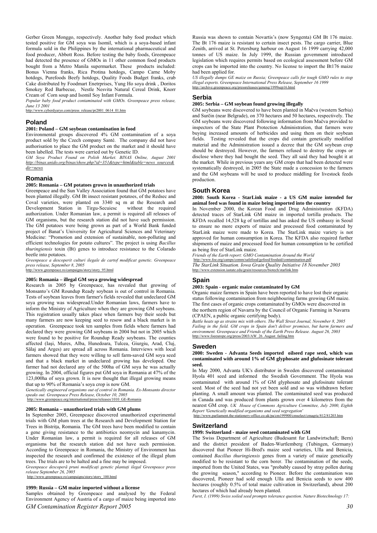Gerber Green Monggo, respectively. Another baby food product which tested positive for GM soya was Isomil, which is a soya-based infant formula sold in the Philippines by the international pharmaceutical and food producer, Abbott Ross. Before testing the baby foods, Greenpeace had detected the presence of GMOs in 11 other common food products bought from a Metro Manila supermarket. These products included: Bonus Vienna franks, Rica Protina hotdogs, Campo Carne Moby hotdogs, Purefoods Beefy hotdogs, Quality Foods Budget franks, crab Cake distributed by Foodmart Enetrprises, Yung Ho soya drink , Doritos Smokey Red Barbecue, Nestle Nesvita Natural Cereal Drink, Knorr Cream of Corn soup and Isomil Soy Infant Formula.

*Popular baby food product contaminated with GMOs. Greenpeace press release, June 13 2001*  http://www.cyberdyaryo.com/press\_release/pr2001\_0614\_01.htm

# **Poland**

# **2001: Poland – GM soybean contamination in food**

Environmental groups discovered 4% GM contamination of a soya product sold by the Czech company Santé. The company did not have authorisation to place the GM product on the market and it should have been labelled. The tests were carried out by Genetic ID.

*GM Soya Product Found on Polish Market. BINAS Online, August 2001 http://binas.unido.org/binas/show.php?id=351&type=html&table=news\_sources& dir=news*

# **Romania**

# **2005: Romania – GM potatoes grown in unauthorized trials**

Greenpeace and the Sun Valley Association found that GM potatoes have been planted illegally. GM Bt insect resistant potatoes, of the Redsec and Coval varieties, were planted on 3340 sq m at the Research and Development Station in Tirgu-Secuiesc without the required authorization. Under Romanian law, a permit is required all releases of GM organisms, but the research station did not have such permission. The GM potatoes were being grown as part of a World Bank funded project of Banat's University for Agricultural Sciences and Veterinary Medicine: "Promotion and extension of sustainable, non-polluting and efficient technologies for potato cultures". The project is using *Bacillus thuringiensis* toxin (Bt) genes to introduce resistance to the Colarado beetle into potatoes.

*Greenpeace a descoperit culturi ilegale de cartof modificat genetic. Greenpeace press release, September 8, 2005* 

http://www.greenpeace.ro/campaigns/story/story\_95.html

# **2005: Romania – illegal GM soya growing widespread**

Research in 2005 by Greenpeace, has revealed that growing of Monsanto's GM Roundup Ready soybean is out of control in Romania. Tests of soybean leaves from farmer's fields revealed that undeclared GM soya growing was widespread.Under Romanian laws, farmers have to inform the Ministry of Agriculture when they are growing GM soybeans. This registration usually takes place when farmers buy their seeds but many farmers are now keeping seed to resow and a black market is in operation. Greenpeace took ten samples from fields where farmers had declared they were growing GM soybeans in 2004 but not in 2005 which were found to be positive for Roundup Ready soybeans. The counties affected (Iaşi, Mures, Alba, Hunedoara, Tulcea, Giurgiu, Arad, Cluj, Sălaj and Arges) are spread all across Romania. Interviews with local farmers showed that they were willing to sell farm-saved GM soya seed and that a black market in undeclared growing has developed. One farmer had not declared any of the 500ha of GM soya he was actually growing. In 2004, official figures put GM soya in Romania at 47% of the 123,000ha of soya grown. It is now thought that illegal growing means that up to 90% of Romania's soya crop is now GM.

*Genetically engineered organisms out of control in Romania. Ex-Monsanto director speaks out. Greenpeace Press Release, October 10, 2005*  http://www.greenpeace.org/international/press/releases/1010\_GE-Romania

#### **2005: Romania – unauthorized trials with GM plums**

In September 2005, Greenpeace discovered unauthorized experimental trials with GM plum trees at the Research and Development Station for Trees in Bistrița, Romania. The GM trees have been modified to contain a gene giving resistance to the antibiotics neomycin and kanamycin. Under Romanian law, a permit is required for all releases of GM organisms but the research station did not have such permission. According to Greenpeace in Romania, the Ministry of Environment has inspected the research and confirmed the existence of the illegal plum trees. The trials are to be halted and a fine may be imposed.

*Greenpeace descoperă pruni modificaţi genetic plantaţi ilegal Greenpeace press release September 26, 2005* 

http://www.greenpeace.ro/campaigns/story/story\_100.html

# **1999: Russia – GM maize imported without a license**

*GM Contamination Register Report 2005 30* Samples obtained by Greenpeace and analysed by the Federal Environment Agency of Austria of a cargo of maize being imported into

Russia was shown to contain Novartis's (now Syngenta) GM Bt 176 maize. The Bt 176 maize is resistant to certain insect pests. The cargo carrier, Blue Zenith, arrived at St. Petersburg harbour on August 16 1999 carrying 42,000 tonnes of US maize. In July 1999, the Russian government introduced legislation which requires permits based on ecological assessment before GM crops can be imported into the country. No license to import the Bt176 maize had been applied for.

*US illegally dumps GE maize on Russia; Greenpeace calls for tough GMO rules to stop illegal exports. Greenpeace International Press Release, September 16 1999*  http://archive.greenpeace.org/pressreleases/geneng/1999sep16.html

#### **Serbia**

# **2005: Serbia – GM soybean found growing illegally**

GM soybeans were discovered to have been planted in Mačva (western Serbia) and Surčin (near Belgrade), on 370 hectares and 50 hectares, respectively. The GM soybeans were discovered following information from Mačva provided to inspectors of the State Plant Protection Administration, that farmers were buying increased amounts of herbicides and using them on their soybean fields. Testing revealed that the crops did contain genetically modified material and the Administration issued a decree that the GM soybean crop should be destroyed. However, the farmers refused to destroy the crops or disclose where they had bought the seed. They all said they had bought it at the market. While in previous years any GM crops that had been detected were systematically destroyed, in 2005 the State made a concession to the farmers and the GM soybeans will be used to produce middling for livestock feeds production.

# **South Korea**

**2000: South Korea - StarLink maize - a US GM maize intended for animal feed was found in maize being imported into the country** 

In November 2000, the Korean Food and Drug Administration (KFDA) detected traces of StarLink GM maize in imported tortilla products. The KFDA recalled 14,528 kg of tortillas and has asked the US embassy in Seoul to ensure no more exports of maize and processed food contaminated by StarLink maize were made to Korea. The StarLink maize variety is not approved for human consumption in Korea. The KFDA also required further shipments of maize and processed food for human consumption to be certified as being free of StarLink maize.

*Friends of the Earth report: GMO Contamination Around the World*  http://www.foe.org/camps/comm/safefood/gefood/foodaid/contamination.pdf *The StarLink Situation. Iowa Grain Quality Initiative 18 November 2003*  http://www.extension.iastate.edu/grain/resources/biotech/starlink.htm

# **Spain**

# **2003: Spain - organic maize contaminated by GM**

Organic maize farmers in Spain have been reported to have lost their organic status following contamination from neighbouring farms growing GM maize. The first cases of organic crops contaminated by GMOs were discovered in the northern region of Navarra by the Council of Organic Farming in Navarra (CPAEN, a public organic certifying body).

*Battle heats up as strains mix with others. The Wall Street Journal, November 8, 2005 Failing in the field. GM crops in Spain don't deliver promises, but harm farmers and environment. Greenpeace and Friends of the Earth Press Release. August 26, 2003*  http://www.foeeurope.org/press/2003/AW\_26\_August\_failing.htm

# **Sweden**

#### **2000: Sweden - Advanta Seeds imported oilseed rape seed, which was contaminated with around 1% of GM glyphosate and glufosinate tolerant seed.**

In May 2000, Advanta UK's distributor in Sweden discovered contaminated Hyola 401 seed and informed the Swedish Government. The Hyola was contaminated with around 1% of GM glyphosate and glufosinate tolerant seed. Most of the seed had not yet been sold and so was withdrawn before planting. A small amount was planted. The contaminated seed was produced in Canada and was produced from plants grown over 4 kilometres from the nearest GM crop. *UK House of Commons Agriculture Committee, July 2000, Eighth Report 'Genetically modified organisms and seed segregation'*  http://www.parliament.the-stationery-office.co.uk/pa/cm199900

**Switzerland** 

# **1999: Switzerland - maize seed contaminated with GM**

The Swiss Department of Agriculture (Budesamt fur Landwirtschaft; Bern) and the district president of Baden-Wurtlemberg (Tubingen, Germany) discovered that Pioneer Hi-Bred's maize seed varieties, Ulla and Benicia, contained *Bacillus thuringiensis* genes from a variety of maize genetically modified to be resistant to the corn borer. The contamination of the seeds, imported from the United States, was "probably caused by stray pollen during the growing season," according to Pioneer. Before the contamination was discovered, Pioneer had sold enough Ulla and Benicia seeds to sow 400 hectares (roughly 0.5% of total maize cultivation in Switzerland), about 200 hectares of which had already been planted.

*Furst, I. (1999) Swiss soiled seed prompts tolerance question. Nature Biotechnology 17:*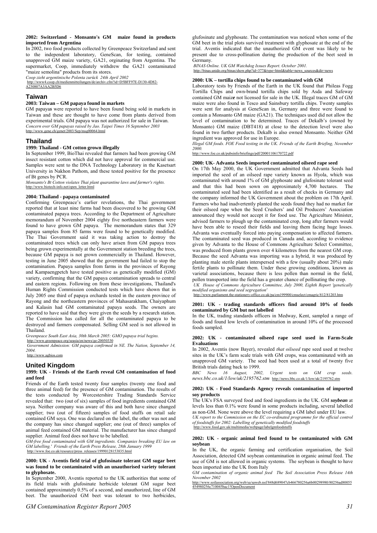# **2002: Switzerland - Monsanto's GM maize found in products imported from Argentina**

In 2002, two food products collected by Greenpeace Switzerland and sent to the independent laboratory, GeneScan, for testing, contained unapproved GM maize variety, GA21, orginating from Argentina. The supermarket, Coop, immediately withdrew the GA21 contaminated "maize semolina" products from its stores.

*Coop zieht argentinische Polenta zurück 24th April 2002*

http://www4.coop.ch/medienmitteilungen/de/archiv.cfm?id=D5BFF97E-D130-4D82- A230807A3AA2B5D6

# **Taiwan**

# **2003: Taiwan – GM papaya found in markets**

GM papaya*s* were reported to have been found being sold in markets in Taiwan and these are thought to have come from plants derived from experimental trials. GM papaya was not authorized for sale in Taiwan. *Concern over GM papayas raised by Jao. Taipei Times 16 September 2003*  http://www.gene.ch/genet/2003/Sep/msg00064.html

# **Thailand**

### **1999: Thailand - GM cotton grown illegally**

In September 1999, BioThai revealed that farmers had been growing GM insect resistant cotton which did not have approval for commercial use. Samples were sent to the DNA Technology Laboratory in the Kasetsart University in Nakhon Pathom, and these tested positive for the presence of Bt genes by PCR.

*Monsanto's Bt Cotton violates Thai plant quarantine laws and farmer's rights.* http://www.biotech-info.net/open\_letter.html

# **2004: Thailand - papaya contaminated**

Confirming Greenpeace's earlier revelations, the Thai government reported that at least nine farms had been discovered to be growing GM contaminated papaya trees. According to the Department of Agriculture memorandum of November 2004 eighty five northeastern farmers were found to have grown GM papaya. The memorandum states that 329 papaya samples from 85 farms were found to be genetically modified. The Thai Government said it was taking action to destroy the contaminated trees which can only have arisen from GM papaya trees being grown experimentally at the Government station breeding the trees, because GM papaya is not grown commercially in Thailand. However, testing in June 2005 showed that the government had failed to stop the contamination. Papaya samples from farms in the provinces of Rayong and Kampaengpetch have tested positive as genetically modified (GM) variety, confirming that the GM papaya contamination spreads to central and eastern regions. Following on from these investigations, Thailand's Human Rights Commission conducted tests which have shown that in July 2005 one third of papaya orchards tested in the eastern province of Rayong and the northeastern provinces of Mahasarakham, Chaiyaphum and Kalasin had GM contaminated papaya seeds. The owners are reported to have said that they were given the seeds by a research station. The Commission has called for all the contaminated papaya to be destroyed and farmers compensated. Selling GM seed is not allowed in Thailand.

*Greenpeace South East Asia, 30th March 2005: GMO papaya trial begins.*  http://www.greenpeace.org/seasia/en/news/ge-20050330

*Government Admission: GM papaya confirmed in NE. The Nation, September 14, 2004.*  http://

# **United Kingdom**

### **1999: UK - Friends of the Earth reveal GM contamination of food and feed**

Friends of the Earth tested twenty four samples (twenty one food and three animal feed) for the presence of GM contamination. The results of the tests conducted by Worcestershire Trading Standards Service revealed that: two (out of six) samples of food ingredients contained GM soya. Neither company was aware of this and both have since changed supplier; two (out of fifteen) samples of food stuffs on retail sale contained GM soya. One was declared on the label, the other was not and the company has since changed supplier; one (out of three) samples of animal feed contained GM material. The manufacturer has since changed supplier. Animal feed does not have to be labelled.

*GM-free food contaminated with GM ingredients. Companies breaking EU law on GM labelling.' Friends of the Earth Press Release, 28th January 1999*  http://www.foe.co.uk/resource/press\_releases/19990128153835.html

# **2000: UK - Aventis field trial of glufosinate tolerant GM sugar beet was found to be contaminated with an unauthorised variety tolerant to glyphosate.**

In September 2000, Aventis reported to the UK authorities that some of its field trials with glufosinate herbicide tolerant GM sugar beet contained approximately 0.5% of a second, and unauthorized, line of GM beet. The unauthorized GM beet was tolerant to two herbicides,

glufosinate and glyphosate. The contamination was noticed when some of the GM beet in the trial plots survived treatment with glyphosate at the end of the trial. Aventis indicated that the unauthorized GM event was likely to be present due to cross-pollination during the production of the beet seed in Germany.

*BINAS Online. UK GM Watchdog Issues Report. October 2001.*  http://binas.unido.org/binas/show.php?id=377&type=html&table

# **2000: UK – tortilla chips found to be contaminated with GM**

Laboratory tests by Friends of the Earth in the UK found that Phileas Fogg Tortilla Chips and own-brand tortilla chips sold by Asda and Safeway contained GM maiz*e* not licensed for sale in the UK. Illegal traces GM of GM maize were also found in Tesco and Sainsbury tortilla chips. Twenty samples were sent for analysis at GeneScan in, Germany and three were found to contain a Monsanto GM maize (GA21). The techniques used did not allow the level of contamination to be determined. Traces of Dekalb's (owned by Monsanto) GM maize (DBT418) at close to the detection level were also found in two further products. Dekalb is also owned Monsanto. Neither GM ingredient was approved for use in Europe.

*Illegal GM foods. FOE Food testing in the UK. Friends of the Earth Briefing, November 2000.* 

http://www.foe.co.uk/pubsinfo/briefings/pdf/20001106170722.pdf

# **2000: UK- Advanta Seeds imported contaminated oilseed rape seed**

On 17th May 2000, the UK Government admitted that Advanta Seeds had imported the seed of an oilseed rape variety known as Hyola, which was contaminated with around 1% of GM glyphosate and glufosinate tolerant seed and that this had been sown on approximately 4,700 hectares. The contaminated seed had been identified as a result of checks in Germany and the company informed the UK Government about the problem on 17th April. Farmers who had inadvertently planted the seeds found they had no market for their oilseed rape when the Seed Crushers' and Oil Producers' Association announced they would not accept it for food use. The Agriculture Minister, advised farmers to plough up the contaminated crop, long after farmers would have been able to reseed their fields and leaving them facing huge losses. Advanta was eventually forced into paying compensation to affected farmers. The contaminated seed was produced in Canada and, according to evidence given by Advanta to the House of Commons Agriculture Select Committee, was produced from plants grown over 4 kilometres from the nearest GM crop. Because the seed Advanta was importing was a hybrid, it was produced by planting male sterile plants interspersed with a few (usually about 20%) male fertile plants to pollinate them. Under these growing conditions, known as varietal associations, because there is less pollen than normal in the field, pollen transported into the field has a greater chance of pollinating the crop.

 *UK House of Commons Agriculture Committee, July 2000, Eighth Report 'genetically modified organisms and seed segregation'*

 $\frac{6}{5}$ parliament.the-statione

# **2001: UK - trading standards officers find around 10% of foods contaminated by GM but not labelled**

In the UK, trading standards officers in Medway, Kent, sampled a range of foods and found low levels of contamination in around 10% of the processed foods sampled.

### **2002: UK - contaminated oilseed rape seed used in Farm-Scale Evaluations**

In 2002, Aventis (now Bayer), revealed *that oilseed* rape seed used at twelve sites in the UK's farm scale trials with GM crops, was contaminated with an unapproved GM variety. The seed had been used at a total of twenty five British trials dating back to 1999.

*BBC News 16 August, 2002, Urgent tests on GM crop seeds. news.bbc.co.uk/1/low/uk/2195762.stm* http://news.bbc.co.uk/1/low/uk/2195762.stm

### **2002: UK - Food Standards Agency reveals contamination of imported soy products**

The UK's FSA surveyed food and food ingredients in the UK. GM *soybean* at levels less than 0.1% were found in some products including, several labelled as non-GM. None were above the level requiring a GM label under EU law.

*UK report to the Commission on the EC co-ordinated programme for the official control of foodstuffs for 2002: Labelling of genetically modified foodstuffs*  http://www.food.gov.uk/multimedia/webpage/labelgmfoodstuffs

## **2002: UK - organic animal feed found to be contaminated with GM soybean**

In the UK, the organic farming and certification organisation, the Soil Association, detected GM soybean contamination in organic animal feed. The use of GM is not allowed in organic systems. The soybean is thought to have been imported into the UK from Italy

*GM contamination of organic animal feed The Soil Association Press Release 14th November 2002* 

http://www.soilassociation.org/web/sa/saweb.nsf/848d689047cb466780256a6b00298980/80256ad80055 454980256c710045bac1!OpenDocument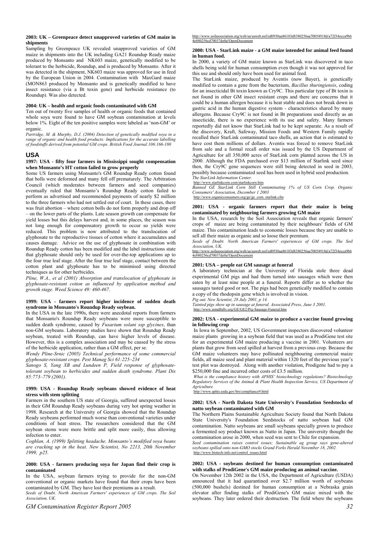# **2003: UK – Greenpeace detect unapproved varieties of GM maize in shipments**

Sampling by Greenpeace UK revealed unapproved varieties of GM maize in shipments into the UK including GA21 Roundup Ready maize produced by Monsanto and NK603 maize, genetically modified to be tolerant to the herbicide, Roundup, and is produced by Monsanto. After it was detected in the shipment, NK603 maize was approved for use in feed by the European Union in 2004. Contamination with MaxGard maize (MON863 produced by Monsanto and is genetically modified to have insect resistance (via a Bt toxin gene) and herbicide resistance (to Roundup). Was also detected.

#### **2004: UK – health and organic foods contaminated with GM**

Ten out of twenty five samples of health or organic foods that contained whole soya were found to have GM soybean contamination at levels below 1%. Eight of the ten positive samples were labeled as 'non-GM' or organic.

*Partridge, M. & Murphy, D.J. (2004) Detection of genetically modified soya in a range of organic and health food products: Implications for the accurate labelling of foodstuffs derived from potential GM crops. British Food Journal 106:166-180* 

# **USA**

# **1997: USA - fifty four farmers in Mississippi sought compensation when Monsanto's HT cotton failed to grow properly**

Some US farmers using Monsanto's GM Roundup Ready cotton found that bolls were deformed and many fell off prematurely. The Arbitration Council (which moderates between farmers and seed companies) eventually ruled that Monsanto's Roundup Ready cotton failed to perform as advertised and recommended payments of nearly \$2 million to the three farmers who had not settled out of court. In these cases, there was fruit abortion – where cotton bolls do not form properly and drop off – on the lower parts of the plants. Late season growth can compensate for yield losses but this delays harvest and, in some places, the season was not long enough for compensatory growth to occur so yields were reduced. This problem is now attributed to the translocation of glyphosate to the reproductive tissues of cotton where it accumulates and causes damage. Advice on the use of glyphosate in combination with Roundup Ready cotton has been modified and the label instructions state that glyphosate should only be used for over-the-top applications up to the four true leaf stage. After the four true leaf stage, contact between the cotton plant and glyphosate has to be minimised using directed techniques as for other herbicides.

*Pline, W.A., et al (2001) Absorption and translocation of glyphosate in glyphosate-resistant cotton as influenced by application method and growth stage. Weed Science 49: 460-467*.

### **1999: USA - farmers report higher incidence of sudden death syndrome in Monsanto's Roundup Ready soybean.**

In the USA in the late 1990s, there were anecdotal reports from farmers that Monsanto's Roundup Ready soybeans were more susceptible to sudden death syndrome, caused by *Fusarium solani ssp glycines*, than non-GM soybeans. Laboratory studies have shown that Roundup Ready soybean, treated with Roundup, can have higher levels of disease. However, this is a complex association and may be caused by the stress of the herbicide application, rather than a GM effect, per se.

*Wendy Pline-Srnic (2005) Technical performance of some commercial glyphosate-resistant crops. Pest Manag Sci 61:225–234* 

*Sanogo S, Yang XB and Lundeen P, Field response of glyphosatetolerant soybean to herbicides and sudden death syndrome. Plant Dis 85:773–779 (2001).* 

#### **1999: USA - Roundup Ready soybeans showed evidence of heat stress with stem splitting**

Farmers in the southern US state of Georgia, suffered unexpected losses in their GM Roundup Ready soybeans during very hot spring weather in 1998. Research at the University of Georgia showed that the Roundup Ready soybeans performed much worse than conventional varieties under conditions of heat stress. The researchers considered that the GM soybean stems were more brittle and split more easily, thus allowing infection to enter.

*Coghlan, A. (1999) Splitting headache. Monsanto's modified soya beans are cracking up in the heat. New Scientist, No 2213, 20th November 1999, p25.* 

# **2000: USA - farmers producing soya for Japan find their crop is contaminated**

In the USA, soybean farmers trying to provide for the non-GM conventional or organic markets have found that their crops have been contaminated by GM. They have lost their premiums as a result. *Seeds of Doubt. North American Farmers' experiences of GM crops. The Soil Association, UK.* 

# **2000: USA - StarLink maize - a GM maize intended for animal feed found in human food.**

In 2000, a variety of GM maize known as StarLink was discovered in taco shells being sold for human consumption even though it was not approved for this use and should only have been used for animal feed.

The StarLink maize, produced by Aventis (now Bayer), is genetically modified to contain a gene from the bacterium, *Bacillus thuringiensis*, coding for an insecticidal Bt toxin known as Cry9C. This particular type of Bt toxin is not found in other GM insect resistant crops and there are concerns that it could be a human allergen because it is heat stable and does not break down in gastric acid in the human digestive system - characteristics shared by many allergens. Because Cry9C is not found in Bt preparations used directly as an insecticide, there is no experience with its use and safety. Many farmers reportedly did not know that StarLink had to be kept separate. As a result of the discovery, Kraft, Safeway, Mission Foods and Western Family rapidly recalled their StarLink contaminated taco shells, an action that is estimated to have cost them millions of dollars. Aventis was forced to remove StarLink from sale and a formal recall order was issued by the US Department of Agriculture for all 350,000 acres of StarLink corn planted across the US in 2000. Although the FDA purchased over \$13 million of Starlink seed since then, the Cry9C gene sequences were still being detected in seed in 2003, possibly because contaminated seed has been used in hybrid seed production. *The StarLink Information Center.* 

# http://www.starlinkcorn.com/starlinkcorn.htm

*Banned GE StarLink Corn Still Contaminating 1% of US Corn Crop. Organic Consumers' Association, December 1 2003* 

http://www.organicconsumers.org/ge/ge\_corn\_starlink.cfm

### **2001: USA - organic farmers report that their maize is being contaminated by neighbouring farmers growing GM maize**

In the USA, research by the Soil Association reveals that organic farmers' crops of maize are being contaminated by their neighbours' fields of GM maize. This contamination leads to economic losses because they are unable to sell all their maize as organic and so loose their premium.

*Seeds of Doubt. North American Farmers' experiences of GM crops. The Soil Association, UK.* 

http://www.soilassociation.org/web/sa/saweb.nsf/ed0930aa86103d8380256aa70054918d/a72f34ecca9b6 4e880256cd70037de0a!OpenDocument

# **2001: USA – people eat GM sausage at funeral**

A laboratory technician at the University of Florida stole three dead experimental GM pigs and had them turned into sausages which were then eaten by at least nine people at a funeral. Reports differ as to whether the sausages tasted good or not. The pigs had been genetically modified to contain a copy of the rhodopsin gene which is involved in vision.

*Pig out. New Scientist, 28 July 2001, p 14.* 

*Tainted pigs show up in sausage at funeral. Associated Press, June 3 2001.* http://www.mindfully.org/GE/GE2/Pig-Sausage-Funeral.htm

# **2002: USA - experimental GM maize to produce a vaccine found growing in following crop**

In Iowa in September, 2002, US Government inspectors discovered volunteer maize plants growing in a soybean field that was used as a ProdiGene test site for an experimental GM maize producing a vaccine in 2001. Volunteers are plants that grow from seed spilled at harvest from a previous crop. Because the GM maize volunteers may have pollinated neighbouring commercial maize fields, all maize seed and plant material within 1320 feet of the previous year's test plot was destroyed. Along with another violation, Prodigene had to pay a \$250,000 fine and incurred other costs of £3.5 million.

*What is the compliance history with APHIS' biotechnology regulations? Biotechnology Regulatory Services of the Animal & Plant Health Inspection Service, US Department of Agriculture.* 

http://www.aphis.usda.gov/brs/compliance9.html

#### **2002: USA - North Dakota State University's Foundation Seedstocks of natto soybean contaminated with GM**

The Northern Plains Sustainable Agriculture Society found that North Dakota State University's Foundation Seedstocks of natto soybean had GM contamination. Natto soybeans are small soybeans specially grown to produce a fermented soy product known as Natto in Japan. The university thought the contamination arose in 2000, when seed was sent to Chile for expansion.

*Seed contamination raises control issues; Sustainable ag group says gene-altered soybeans spilled onto non-GMO stocks Grand Forks Herald November 18, 2002.*  http://www.biotech-info.net/control\_issues.html

# **2002: USA - soybeans destined for human consumption contaminated with stalks of ProdiGene's GM maize producing an animal vaccine.**

On November 12th 2002 in the USA, the Department of Agriculture (USDA) announced that it had quarantined over \$2.7 million worth of soybeans (500,000 bushels) destined for human consumption at a Nebraska grain elevator after finding stalks of ProdiGene's GM maize mixed with the soybeans. They later ordered their destruction. The field where the soybeans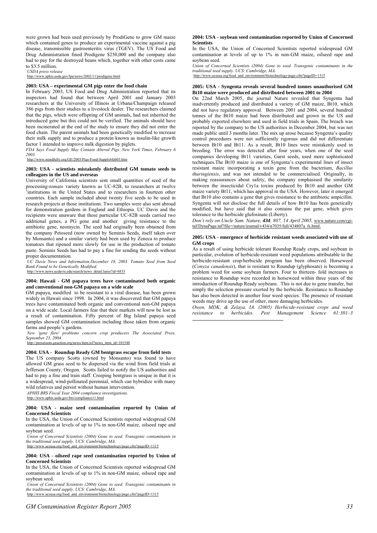were grown had been used previously by ProdiGene to grow GM maize which contained genes to produce an experimental vaccine against a pig disease, transmissible gastroenteritis virus (TGEV). The US Food and Drug Administration fined Prodigene \$250,000 and the company also had to pay for the destroyed beans which, together with other costs came to \$3.5 million.

*USDA press release* 

/lpa/news/2002/11/prodigene.html

# **2003: USA – experimental GM pigs enter the food chain**

In February 2003, US Food and Drug Administration reported that its inspectors had found that between April 2001 and January 2003 researchers at the University of Illinois at Urbana/Champaign released 386 pigs from their studies to a livestock dealer. The researchers claimed that the pigs, which were offspring of GM animals, had not inherited the introduced gene but this could not be verified. The animals should have been incinerated at the end of the study to ensure they did not enter the food chain. The parent animals had been genetically modified to increase their milk supply and to produce a protein known as insulin-like growth factor 1 intended to improve milk digestion by piglets.

*FDA Says Food Supply May Contain Altered Pigs. New York Times, February 6 2003.* 

http://www.mindfully.org/GE/2003/Pigs-Food-Supply6feb03.htm

# **2003: USA - scientists mistakenly distributed GM tomato seeds to colleagues in the US and overseas**

University of California scientists sent small quantities of seed of the processing-*tomato* variety known as UC-82B, to researchers at twelve 1 <sup>1</sup> institutions in the United States and to researchers in fourteen other countries. Each sample included about twenty five seeds to be used in research projects at those institutions. Two samples were also sent abroad for demonstration gardens in England and Ethiopia. UC Davis and the recipients were unaware that these particular UC-82B seeds carried two additional genes, a PG gene and another giving resistance to the antibiotic gene, neomycin. The seed had originally been obtained from the company Petoseed (now owned by Seminis Seeds, itself taken over by Monsanto) and a similar variety had been used by Zeneca to produce tomatoes that ripened more slowly for use in the production of tomato paste. Seminis Seeds has had to pay a fine for sending the seeds without proper documentation.

*UC Davis News and Information.December 18, 2003. Tomato Seed from Seed Bank Found to be Genetically Modified.* 

http://www.news.ucdavis.edu/search/news\_detail.lasso?id=6833

# **2004: Hawaii - GM papaya trees have contaminated both organic and conventional non-GM papaya on a wide scale**

GM papaya, modified to be resistant to a viral disease, has been grown widely in Hawaii since 1998. In 2004, it was discovered that GM papaya trees have contaminated both organic and conventional non-GM papaya on a wide scale. Local farmers fear that their markets will now be lost as a result of contamination. Fifty percent of Big Island papaya seed samples showed GM contamination including those taken from organic farms and people's gardens.

*New 'gene flow' problems concern crop producers The Associated Press, September 23, 2004.*  ws/item.tcl?news\_item\_id=101548

# **2004: USA - Roundup Ready GM bentgrass escape from field tests**  The US company Scotts (owned by Monsanto) was found to have allowed GM grass seed to be dispersed via the wind from field trials at Jefferson County, Oregon. Scotts failed to notify the US authorities and had to pay a fine and train staff. Creeping bentgrass is unique in that it is a widespread, wind-pollinated perennial, which can hybridize with many wild relatives and persist without human intervention.

*APHIS BRS Fiscal Year 2004 compliance investigations.* 

/www.aphis.usda.gov/brs/compliance11.html

### **2004: USA - maize seed contamination reported by Union of Concerned Scientists**

In the USA, the Union of Concerned Scientists reported widespread GM contamination at levels of up to 1% in non-GM maize, oilseed rape and soybean seed.

*Union of Concerned Scientists (2004) Gone to seed. Transgenic contaminants in the traditional seed supply. UCS: Cambridge, MA.*<br>
http://www.ucsusa.org/food\_and\_environment/biotechnology/page.cfm?pageID=1315

# **2004: USA - oilseed rape seed contamination reported by Union of**

**Concerned Scientists**  In the USA, the Union of Concerned Scientists reported widespread GM contamination at levels of up to 1% in non-GM maize, oilseed rape and soybean seed.

*Union of Concerned Scientists (2004) Gone to seed. Transgenic contaminants in the traditional seed supply. UCS: Cambridge, MA.* 

sa.org/food\_and\_environment/biotechnology/page.cfm?pageID=1315

# **2004: USA - soybean seed contamination reported by Union of Concerned Scientists**

In the USA, the Union of Concerned Scientists reported widespread GM contamination at levels of up to 1% in non-GM maize, oilseed rape and soybean seed.

*Union of Concerned Scientists (2004) Gone to seed. Transgenic contaminants in the traditional seed supply. UCS: Cambridge, MA.*  http://www.ucsusa.org/food\_and\_environment/biotechnology/page.cfm?pageID=1315

# **2005: USA - Syngenta reveals several hundred tonnes unauthorised GM Bt10 maize were produced and distributed between 2001 to 2004**

On 22nd March 2005, the journal Nature revealed that Syngenta had inadvertently produced and distributed a variety of GM maize, Bt10, which did not have regulatory approval. Between 2001 and 2004, several hundred tonnes of the Bt10 maize had been distributed and grown in the US and probably exported elsewhere and used in field trials in Spain. The breach was reported by the company to the US authorities in December 2004, but was not made public until 3 months later. The mix up arose because Syngenta's quality control procedures were not sufficiently rigorous and did not differentiate between Bt10 and Bt11. As a result, Bt10 lines were mistakenly used in breeding. The error was detected after four years, when one of the seed companies developing Bt11 varieties, Garst seeds, used more sophisticated techniques.The Bt10 maize is one of Syngenta's experimental lines of insect resistant maize incorporating a toxin gene from the bacterium, *Bacillus thuringiensis*, and was not intended to be commercialised. Originally, in making reassurances about safety, the company emphasised the similarity between the insecticidal Cry1a toxins produced by Bt10 and another GM maize variety Bt11, which has approval in the USA. However, later it emerged that Bt10 also contains a gene that gives resistance to the antibiotic ampicillin. Syngenta will not disclose the full details of how Bt10 has been genetically modified, but have said that it also contains the pat gene, which gives tolerance to the herbicide glufosinate (Liberty).

*Don't rely on Uncle Sam. Nature, 434, 807, 14 April 2005,* www.nature.com/cgitaf/DynaPage.taf?file=/nature/journal/v434/n7035/full/434807a\_fs.html.

### **2005: USA - emergence of herbicide resistant weeds associated with use of GM crops**

As a result of using herbicide tolerant Roundup Ready crops, and soybean in particular, evolution of herbicide-resistant weed populations attributable to the herbicide-resistant crop/herbicide program has been observed. Horseweed (*Conyza canadensis*), that is resistant to Roundup (glyphosate) is becoming a problem weed for some soybean farmers. Four to thirteen- fold increases in resistance to Roundup were recorded in horseweed within three years of the introduction of Roundup Ready soybeans. This is not due to gene transfer, but simply the selection pressure exerted by the herbicide. Resistance to Roundup has also been detected in another four weed species. The presence of resistant weeds may drive up the use of other, more damaging herbicides.

*Owen, MDK, & Zelaya, IA. (2005) Herbicide-resistant crops and weed resistance to herbicides. Pest Management Science 61:301–3* l